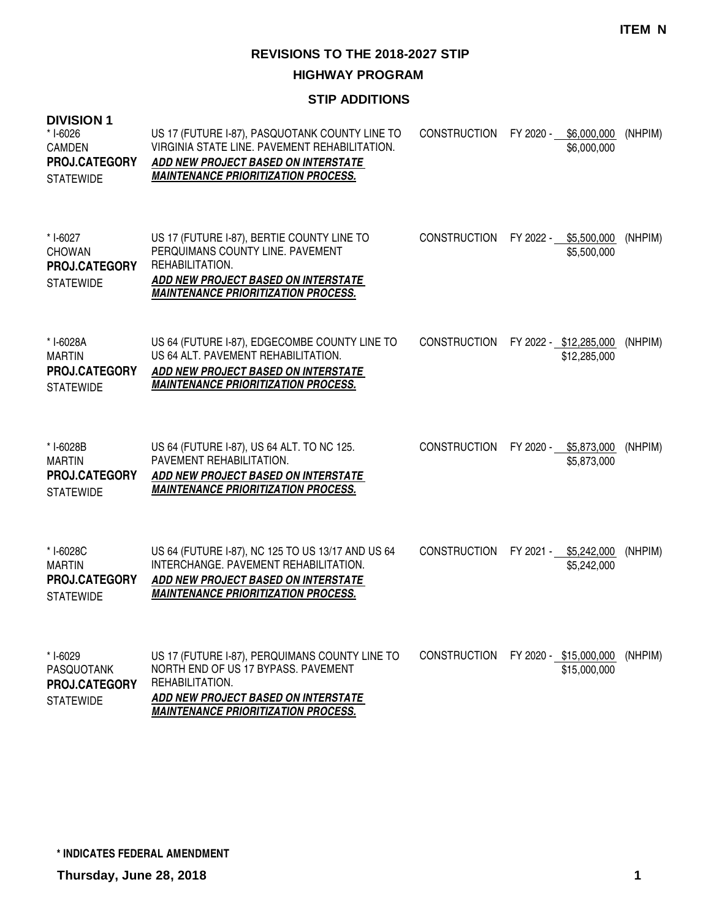**HIGHWAY PROGRAM**

## **STIP ADDITIONS**

| <b>DIVISION 1</b><br>* I-6026<br><b>CAMDEN</b><br>PROJ.CATEGORY<br><b>STATEWIDE</b> | US 17 (FUTURE I-87), PASQUOTANK COUNTY LINE TO<br>VIRGINIA STATE LINE. PAVEMENT REHABILITATION.<br>ADD NEW PROJECT BASED ON INTERSTATE<br><b>MAINTENANCE PRIORITIZATION PROCESS.</b>          | <b>CONSTRUCTION</b> | FY 2020 -<br>\$6,000,000<br>\$6,000,000 | (NHPIM) |
|-------------------------------------------------------------------------------------|-----------------------------------------------------------------------------------------------------------------------------------------------------------------------------------------------|---------------------|-----------------------------------------|---------|
| * I-6027<br><b>CHOWAN</b><br>PROJ.CATEGORY<br><b>STATEWIDE</b>                      | US 17 (FUTURE I-87), BERTIE COUNTY LINE TO<br>PERQUIMANS COUNTY LINE. PAVEMENT<br>REHABILITATION.<br>ADD NEW PROJECT BASED ON INTERSTATE<br><b>MAINTENANCE PRIORITIZATION PROCESS.</b>        | <b>CONSTRUCTION</b> | FY 2022 - \$5,500,000<br>\$5,500,000    | (NHPIM) |
| * I-6028A<br><b>MARTIN</b><br>PROJ.CATEGORY<br><b>STATEWIDE</b>                     | US 64 (FUTURE I-87), EDGECOMBE COUNTY LINE TO<br>US 64 ALT. PAVEMENT REHABILITATION.<br>ADD NEW PROJECT BASED ON INTERSTATE<br><b>MAINTENANCE PRIORITIZATION PROCESS.</b>                     | <b>CONSTRUCTION</b> | FY 2022 - \$12,285,000<br>\$12,285,000  | (NHPIM) |
| * I-6028B<br><b>MARTIN</b><br>PROJ.CATEGORY<br><b>STATEWIDE</b>                     | US 64 (FUTURE I-87), US 64 ALT. TO NC 125.<br>PAVEMENT REHABILITATION.<br>ADD NEW PROJECT BASED ON INTERSTATE<br><b>MAINTENANCE PRIORITIZATION PROCESS.</b>                                   | <b>CONSTRUCTION</b> | FY 2020 -<br>\$5,873,000<br>\$5,873,000 | (NHPIM) |
| * I-6028C<br><b>MARTIN</b><br>PROJ.CATEGORY<br><b>STATEWIDE</b>                     | US 64 (FUTURE I-87), NC 125 TO US 13/17 AND US 64<br>INTERCHANGE. PAVEMENT REHABILITATION.<br>ADD NEW PROJECT BASED ON INTERSTATE<br><b>MAINTENANCE PRIORITIZATION PROCESS.</b>               | <b>CONSTRUCTION</b> | FY 2021 - \$5,242,000<br>\$5,242,000    | (NHPIM) |
| * I-6029<br><b>PASQUOTANK</b><br>PROJ.CATEGORY<br><b>STATEWIDE</b>                  | US 17 (FUTURE I-87), PERQUIMANS COUNTY LINE TO<br>NORTH END OF US 17 BYPASS. PAVEMENT<br>REHABILITATION.<br>ADD NEW PROJECT BASED ON INTERSTATE<br><b>MAINTENANCE PRIORITIZATION PROCESS.</b> | <b>CONSTRUCTION</b> | FY 2020 - \$15,000,000<br>\$15,000,000  | (NHPIM) |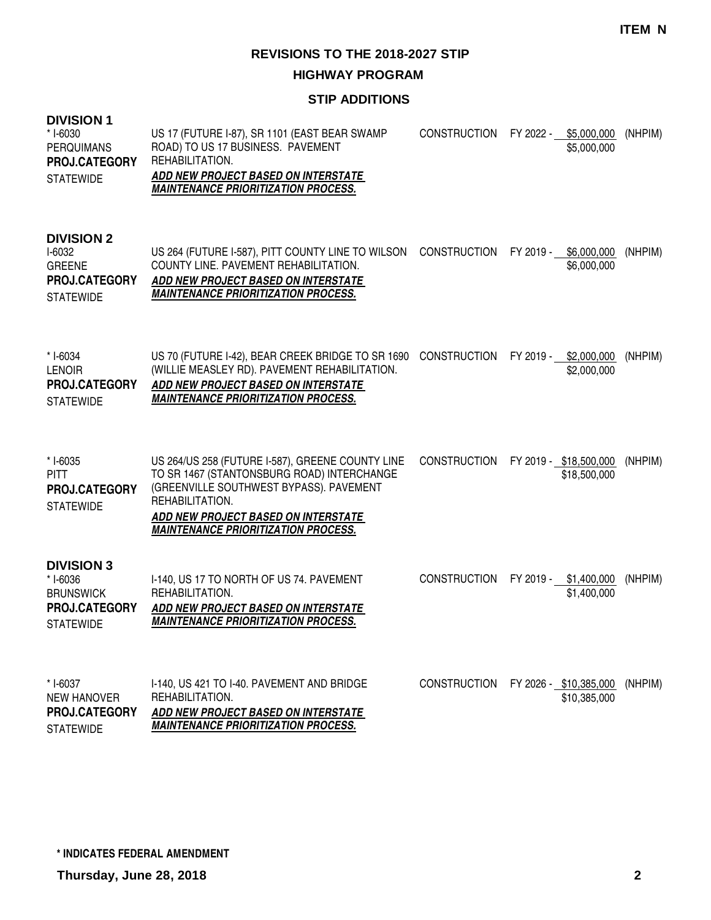#### **HIGHWAY PROGRAM**

# **STIP ADDITIONS**

| <b>DIVISION 1</b><br>* I-6030<br><b>PERQUIMANS</b><br>PROJ.CATEGORY<br><b>STATEWIDE</b>         | US 17 (FUTURE I-87), SR 1101 (EAST BEAR SWAMP<br>ROAD) TO US 17 BUSINESS. PAVEMENT<br>REHABILITATION.<br><b>ADD NEW PROJECT BASED ON INTERSTATE</b><br><b>MAINTENANCE PRIORITIZATION PROCESS.</b>                                                 | <b>CONSTRUCTION</b> | FY 2022 -<br>\$5,000,000<br>\$5,000,000 | (NHPIM) |
|-------------------------------------------------------------------------------------------------|---------------------------------------------------------------------------------------------------------------------------------------------------------------------------------------------------------------------------------------------------|---------------------|-----------------------------------------|---------|
| <b>DIVISION 2</b><br>I-6032<br><b>GREENE</b><br>PROJ.CATEGORY<br><b>STATEWIDE</b>               | US 264 (FUTURE I-587), PITT COUNTY LINE TO WILSON<br>COUNTY LINE. PAVEMENT REHABILITATION.<br>ADD NEW PROJECT BASED ON INTERSTATE<br><b>MAINTENANCE PRIORITIZATION PROCESS.</b>                                                                   | <b>CONSTRUCTION</b> | \$6,000,000<br>FY 2019 -<br>\$6,000,000 | (NHPIM) |
| $*$ I-6034<br><b>LENOIR</b><br>PROJ.CATEGORY<br><b>STATEWIDE</b>                                | US 70 (FUTURE 1-42), BEAR CREEK BRIDGE TO SR 1690 CONSTRUCTION<br>(WILLIE MEASLEY RD). PAVEMENT REHABILITATION.<br>ADD NEW PROJECT BASED ON INTERSTATE<br><b>MAINTENANCE PRIORITIZATION PROCESS.</b>                                              |                     | \$2,000,000<br>FY 2019 -<br>\$2,000,000 | (NHPIM) |
| $*$ I-6035<br><b>PITT</b><br>PROJ.CATEGORY<br><b>STATEWIDE</b>                                  | US 264/US 258 (FUTURE I-587), GREENE COUNTY LINE<br>TO SR 1467 (STANTONSBURG ROAD) INTERCHANGE<br>(GREENVILLE SOUTHWEST BYPASS). PAVEMENT<br>REHABILITATION.<br>ADD NEW PROJECT BASED ON INTERSTATE<br><b>MAINTENANCE PRIORITIZATION PROCESS.</b> | <b>CONSTRUCTION</b> | FY 2019 - \$18,500,000<br>\$18,500,000  | (NHPIM) |
| <b>DIVISION 3</b><br>$*$ I-6036<br><b>BRUNSWICK</b><br><b>PROJ.CATEGORY</b><br><b>STATEWIDE</b> | I-140, US 17 TO NORTH OF US 74. PAVEMENT<br>REHABILITATION.<br>ADD NEW PROJECT BASED ON INTERSTATE<br><b>MAINTENANCE PRIORITIZATION PROCESS.</b>                                                                                                  | <b>CONSTRUCTION</b> | \$1,400,000<br>FY 2019 -<br>\$1,400,000 | (NHPIM) |
| * I-6037<br><b>NEW HANOVER</b><br>PROJ.CATEGORY                                                 | I-140, US 421 TO I-40. PAVEMENT AND BRIDGE<br>REHABILITATION.<br>ADD NEW PROJECT BASED ON INTERSTATE                                                                                                                                              | <b>CONSTRUCTION</b> | FY 2026 - \$10,385,000<br>\$10,385,000  | (NHPIM) |

**MAINTENANCE PRIORITIZATION PROCESS.**

STATEWIDE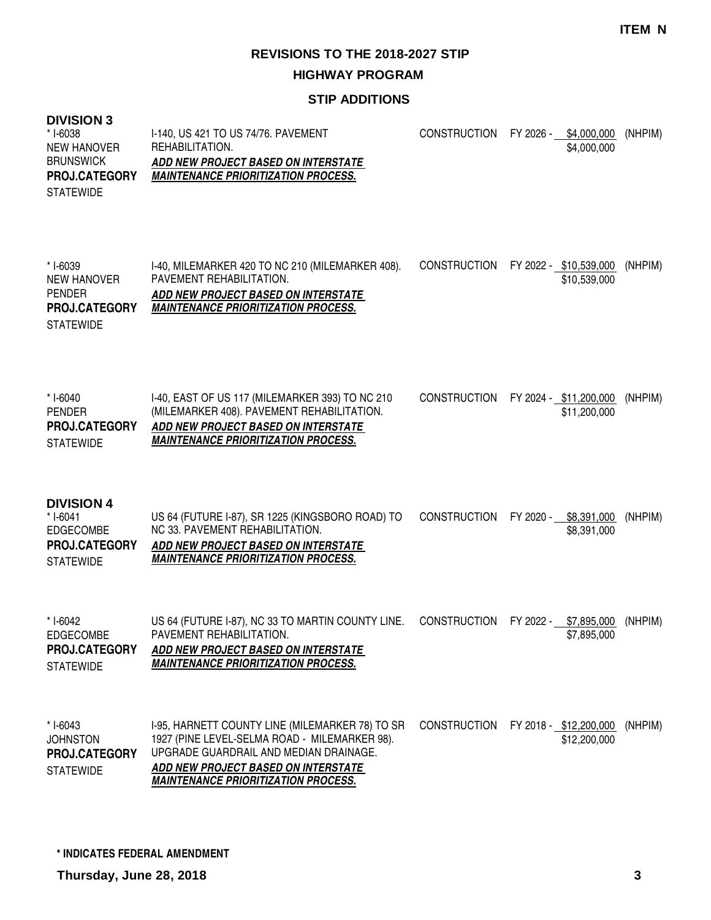#### **HIGHWAY PROGRAM**

#### **STIP ADDITIONS**

#### **DIVISION 3**

| * I-6038             | 1-140, US 421 TO US 74/76, PAVEMENT        | CONSTRUCTION FY 2026 - | \$4.000.000 | (NHPIM) |
|----------------------|--------------------------------------------|------------------------|-------------|---------|
| NEW HANOVER          | REHABILITATION.                            |                        | \$4,000,000 |         |
| <b>BRUNSWICK</b>     | ADD NEW PROJECT BASED ON INTERSTATE        |                        |             |         |
| <b>PROJ.CATEGORY</b> | <b>MAINTENANCE PRIORITIZATION PROCESS.</b> |                        |             |         |
| <b>STATEWIDE</b>     |                                            |                        |             |         |

| * I-6039<br>NEW HANOVER<br><b>PENDER</b><br><b>PROJ.CATEGORY</b><br><b>STATEWIDE</b> | I-40, MILEMARKER 420 TO NC 210 (MILEMARKER 408).<br>PAVEMENT REHABILITATION.<br>ADD NEW PROJECT BASED ON INTERSTATE<br><b>MAINTENANCE PRIORITIZATION PROCESS.</b>                         | <b>CONSTRUCTION</b> | FY 2022 - \$10,539,000<br>\$10,539,000 | (NHPIM) |
|--------------------------------------------------------------------------------------|-------------------------------------------------------------------------------------------------------------------------------------------------------------------------------------------|---------------------|----------------------------------------|---------|
| * I-6040<br>PENDER<br><b>PROJ.CATEGORY</b><br><b>STATEWIDE</b>                       | 1-40, EAST OF US 117 (MILEMARKER 393) TO NC 210<br>(MILEMARKER 408). PAVEMENT REHABILITATION.<br><b>ADD NEW PROJECT BASED ON INTERSTATE</b><br><b>MAINTENANCE PRIORITIZATION PROCESS.</b> | <b>CONSTRUCTION</b> | FY 2024 - \$11,200,000<br>\$11,200,000 | (NHPIM) |

#### **DIVISION 4**

| $*$ I-6041           | US 64 (FUTURE I-87), SR 1225 (KINGSBORO ROAD) TO | CONSTRUCTION FY 2020 - \$8.391.000 (NHPIM) |             |  |
|----------------------|--------------------------------------------------|--------------------------------------------|-------------|--|
| <b>EDGECOMBE</b>     | NC 33. PAVEMENT REHABILITATION.                  |                                            | \$8,391,000 |  |
| <b>PROJ.CATEGORY</b> | ADD NEW PROJECT BASED ON INTERSTATE              |                                            |             |  |
| <b>STATEWIDE</b>     | <i>MAINTENANCE PRIORITIZATION PROCESS.</i>       |                                            |             |  |

| * I-6042             | US 64 (FUTURE 1-87), NC 33 TO MARTIN COUNTY LINE. | CONSTRUCTION FY 2022 - | \$7.895.000 | (NHPIM) |
|----------------------|---------------------------------------------------|------------------------|-------------|---------|
| <b>EDGECOMBE</b>     | PAVEMENT REHABILITATION.                          |                        | \$7,895,000 |         |
| <b>PROJ.CATEGORY</b> | ADD NEW PROJECT BASED ON INTERSTATE               |                        |             |         |
| <b>STATEWIDE</b>     | <i>MAINTENANCE PRIORITIZATION PROCESS.</i>        |                        |             |         |

| * I-6043             | 1-95, HARNETT COUNTY LINE (MILEMARKER 78) TO SR CONSTRUCTION FY 2018 - \$12,200,000 |              | (NHPIM) |
|----------------------|-------------------------------------------------------------------------------------|--------------|---------|
| <b>JOHNSTON</b>      | 1927 (PINE LEVEL-SELMA ROAD - MILEMARKER 98).                                       | \$12,200,000 |         |
| <b>PROJ.CATEGORY</b> | UPGRADE GUARDRAIL AND MEDIAN DRAINAGE.                                              |              |         |
| STATEWIDE            | <i>ADD NEW PROJECT BASED ON INTERSTATE</i>                                          |              |         |
|                      | <i>MAINTENANCE PRIORITIZATION PROCESS.</i>                                          |              |         |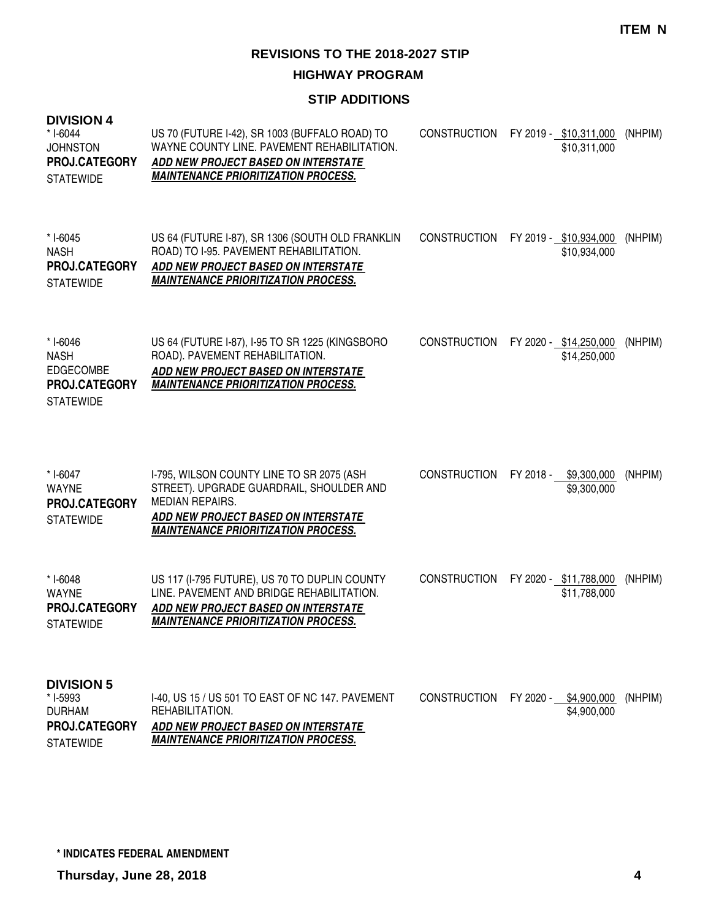#### **HIGHWAY PROGRAM**

# **STIP ADDITIONS**

| <b>DIVISION 4</b><br>$* I-6044$<br><b>JOHNSTON</b><br>PROJ.CATEGORY<br><b>STATEWIDE</b>   | US 70 (FUTURE I-42), SR 1003 (BUFFALO ROAD) TO<br>WAYNE COUNTY LINE. PAVEMENT REHABILITATION.<br>ADD NEW PROJECT BASED ON INTERSTATE<br><b>MAINTENANCE PRIORITIZATION PROCESS.</b>                   | <b>CONSTRUCTION</b> | FY 2019 - \$10,311,000<br>\$10,311,000  | (NHPIM) |
|-------------------------------------------------------------------------------------------|------------------------------------------------------------------------------------------------------------------------------------------------------------------------------------------------------|---------------------|-----------------------------------------|---------|
| $* I - 6045$<br><b>NASH</b><br><b>PROJ.CATEGORY</b><br><b>STATEWIDE</b>                   | US 64 (FUTURE I-87), SR 1306 (SOUTH OLD FRANKLIN<br>ROAD) TO I-95. PAVEMENT REHABILITATION.<br>ADD NEW PROJECT BASED ON INTERSTATE<br><b>MAINTENANCE PRIORITIZATION PROCESS.</b>                     | <b>CONSTRUCTION</b> | FY 2019 - \$10,934,000<br>\$10,934,000  | (NHPIM) |
| $* I-6046$<br><b>NASH</b><br><b>EDGECOMBE</b><br><b>PROJ.CATEGORY</b><br><b>STATEWIDE</b> | US 64 (FUTURE I-87), I-95 TO SR 1225 (KINGSBORO<br>ROAD). PAVEMENT REHABILITATION.<br>ADD NEW PROJECT BASED ON INTERSTATE<br><b>MAINTENANCE PRIORITIZATION PROCESS.</b>                              | <b>CONSTRUCTION</b> | FY 2020 - \$14,250,000<br>\$14,250,000  | (NHPIM) |
| $*$ I-6047<br><b>WAYNE</b><br>PROJ.CATEGORY<br><b>STATEWIDE</b>                           | I-795, WILSON COUNTY LINE TO SR 2075 (ASH<br>STREET). UPGRADE GUARDRAIL, SHOULDER AND<br><b>MEDIAN REPAIRS.</b><br>ADD NEW PROJECT BASED ON INTERSTATE<br><b>MAINTENANCE PRIORITIZATION PROCESS.</b> | <b>CONSTRUCTION</b> | FY 2018 - \$9,300,000<br>\$9,300,000    | (NHPIM) |
| $* I-6048$<br><b>WAYNE</b><br>PROJ.CATEGORY<br><b>STATEWIDE</b>                           | US 117 (I-795 FUTURE), US 70 TO DUPLIN COUNTY<br>LINE, PAVEMENT AND BRIDGE REHABILITATION.<br>ADD NEW PROJECT BASED ON INTERSTATE<br><b>MAINTENANCE PRIORITIZATION PROCESS.</b>                      | <b>CONSTRUCTION</b> | FY 2020 - \$11,788,000<br>\$11,788,000  | (NHPIM) |
| <b>DIVISION 5</b><br>* I-5993<br><b>DURHAM</b><br>PROJ.CATEGORY                           | I-40, US 15 / US 501 TO EAST OF NC 147. PAVEMENT<br>REHABILITATION.<br>ADD NEW PROJECT BASED ON INTERSTATE                                                                                           | <b>CONSTRUCTION</b> | FY 2020 -<br>\$4,900,000<br>\$4,900,000 | (NHPIM) |

**MAINTENANCE PRIORITIZATION PROCESS.**

STATEWIDE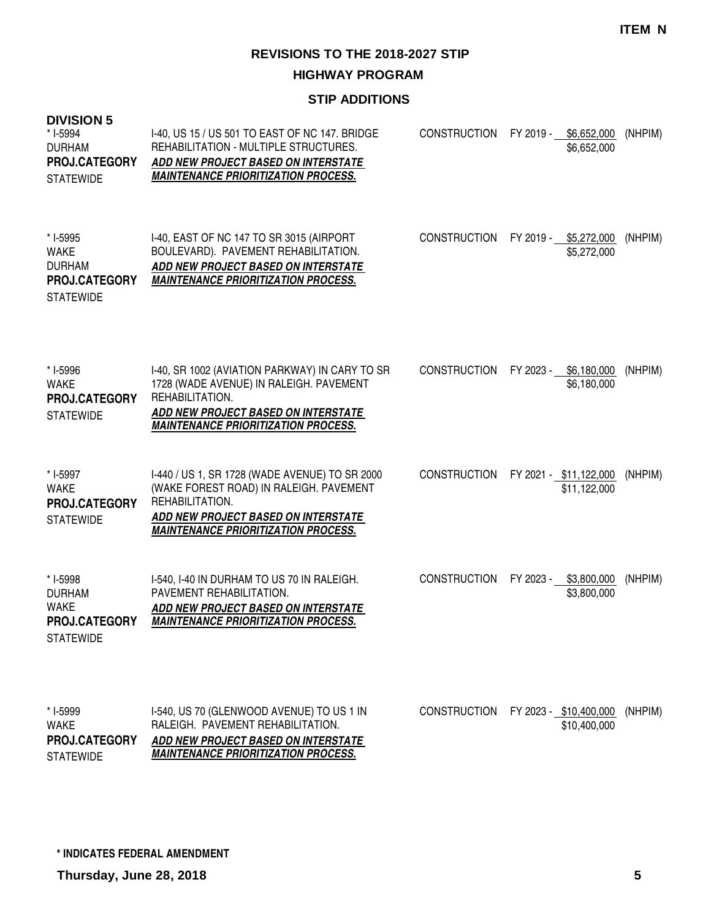## **HIGHWAY PROGRAM**

## **STIP ADDITIONS**

| <b>DIVISION 5</b><br>* I-5994<br><b>DURHAM</b><br>PROJ.CATEGORY<br><b>STATEWIDE</b>  | I-40, US 15 / US 501 TO EAST OF NC 147. BRIDGE<br>REHABILITATION - MULTIPLE STRUCTURES.<br>ADD NEW PROJECT BASED ON INTERSTATE<br><b>MAINTENANCE PRIORITIZATION PROCESS.</b>                      | <b>CONSTRUCTION</b> | FY 2019 -<br>\$6,652,000<br>\$6,652,000 | (NHPIM) |
|--------------------------------------------------------------------------------------|---------------------------------------------------------------------------------------------------------------------------------------------------------------------------------------------------|---------------------|-----------------------------------------|---------|
| * I-5995<br><b>WAKE</b><br><b>DURHAM</b><br>PROJ.CATEGORY<br><b>STATEWIDE</b>        | I-40, EAST OF NC 147 TO SR 3015 (AIRPORT<br>BOULEVARD). PAVEMENT REHABILITATION.<br>ADD NEW PROJECT BASED ON INTERSTATE<br><b>MAINTENANCE PRIORITIZATION PROCESS.</b>                             | <b>CONSTRUCTION</b> | FY 2019 - \$5,272,000<br>\$5,272,000    | (NHPIM) |
| * I-5996<br>WAKE<br><b>PROJ.CATEGORY</b><br><b>STATEWIDE</b>                         | I-40, SR 1002 (AVIATION PARKWAY) IN CARY TO SR<br>1728 (WADE AVENUE) IN RALEIGH. PAVEMENT<br>REHABILITATION.<br>ADD NEW PROJECT BASED ON INTERSTATE<br><b>MAINTENANCE PRIORITIZATION PROCESS.</b> | <b>CONSTRUCTION</b> | FY 2023 -<br>\$6,180,000<br>\$6,180,000 | (NHPIM) |
| * I-5997<br><b>WAKE</b><br>PROJ.CATEGORY<br><b>STATEWIDE</b>                         | I-440 / US 1, SR 1728 (WADE AVENUE) TO SR 2000<br>(WAKE FOREST ROAD) IN RALEIGH. PAVEMENT<br>REHABILITATION.<br>ADD NEW PROJECT BASED ON INTERSTATE<br><b>MAINTENANCE PRIORITIZATION PROCESS.</b> | <b>CONSTRUCTION</b> | FY 2021 - \$11,122,000<br>\$11,122,000  | (NHPIM) |
| * I-5998<br><b>DURHAM</b><br><b>WAKE</b><br><b>PROJ.CATEGORY</b><br><b>STATEWIDE</b> | I-540, I-40 IN DURHAM TO US 70 IN RALEIGH.<br>PAVEMENT REHABILITATION.<br>ADD NEW PROJECT BASED ON INTERSTATE<br><b>MAINTENANCE PRIORITIZATION PROCESS.</b>                                       | <b>CONSTRUCTION</b> | \$3,800,000<br>FY 2023 -<br>\$3,800,000 | (NHPIM) |
| * I-5999<br><b>WAKE</b><br><b>PROJ.CATEGORY</b><br><b>STATEWIDE</b>                  | I-540, US 70 (GLENWOOD AVENUE) TO US 1 IN<br>RALEIGH. PAVEMENT REHABILITATION.<br>ADD NEW PROJECT BASED ON INTERSTATE<br><b>MAINTENANCE PRIORITIZATION PROCESS.</b>                               | <b>CONSTRUCTION</b> | FY 2023 - \$10,400,000<br>\$10,400,000  | (NHPIM) |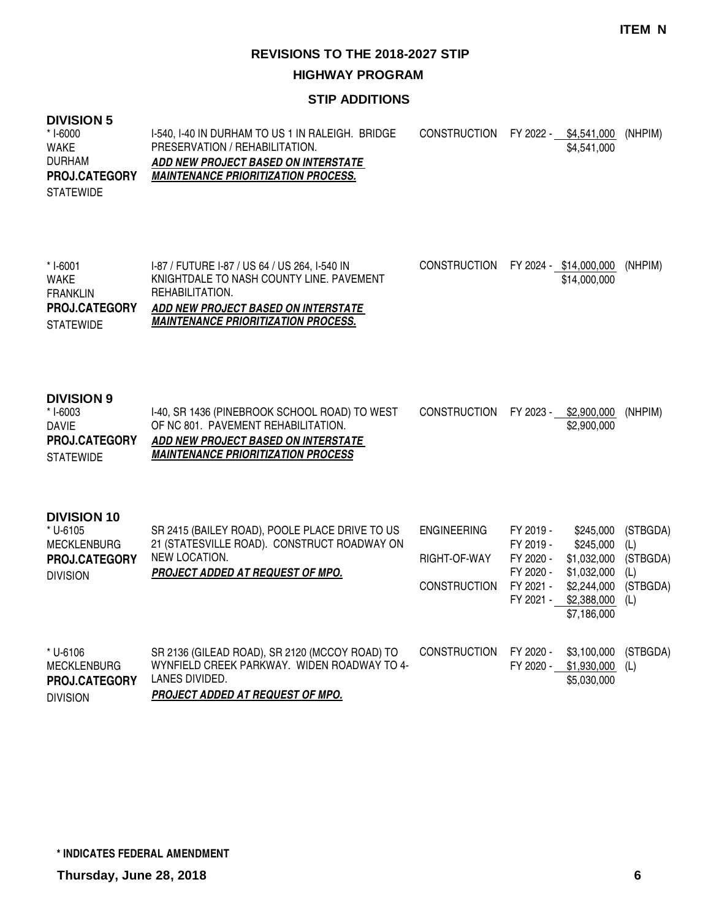#### **HIGHWAY PROGRAM**

## **STIP ADDITIONS**

| <b>DIVISION 5</b><br>$*$ 1-6000<br><b>WAKE</b><br><b>DURHAM</b><br>PROJ.CATEGORY<br><b>STATEWIDE</b> | I-540, I-40 IN DURHAM TO US 1 IN RALEIGH. BRIDGE<br>PRESERVATION / REHABILITATION.<br><b>ADD NEW PROJECT BASED ON INTERSTATE</b><br><b>MAINTENANCE PRIORITIZATION PROCESS.</b>                    | <b>CONSTRUCTION</b>                                       |                                                                            | FY 2022 - \$4,541,000<br>\$4,541,000                                                              | (NHPIM)                                               |
|------------------------------------------------------------------------------------------------------|---------------------------------------------------------------------------------------------------------------------------------------------------------------------------------------------------|-----------------------------------------------------------|----------------------------------------------------------------------------|---------------------------------------------------------------------------------------------------|-------------------------------------------------------|
| $* I-6001$<br><b>WAKE</b><br><b>FRANKLIN</b><br>PROJ.CATEGORY<br><b>STATEWIDE</b>                    | I-87 / FUTURE I-87 / US 64 / US 264, I-540 IN<br>KNIGHTDALE TO NASH COUNTY LINE. PAVEMENT<br>REHABILITATION.<br>ADD NEW PROJECT BASED ON INTERSTATE<br><b>MAINTENANCE PRIORITIZATION PROCESS.</b> | <b>CONSTRUCTION</b>                                       |                                                                            | FY 2024 - \$14,000,000<br>\$14,000,000                                                            | (NHPIM)                                               |
| <b>DIVISION 9</b><br>$*$ I-6003<br><b>DAVIE</b><br>PROJ.CATEGORY<br><b>STATEWIDE</b>                 | I-40, SR 1436 (PINEBROOK SCHOOL ROAD) TO WEST<br>OF NC 801. PAVEMENT REHABILITATION.<br>ADD NEW PROJECT BASED ON INTERSTATE<br><b>MAINTENANCE PRIORITIZATION PROCESS</b>                          | <b>CONSTRUCTION</b>                                       | FY 2023 -                                                                  | \$2,900,000<br>\$2,900,000                                                                        | (NHPIM)                                               |
| <b>DIVISION 10</b><br>* U-6105<br><b>MECKLENBURG</b><br>PROJ.CATEGORY<br><b>DIVISION</b>             | SR 2415 (BAILEY ROAD), POOLE PLACE DRIVE TO US<br>21 (STATESVILLE ROAD). CONSTRUCT ROADWAY ON<br>NEW LOCATION.<br>PROJECT ADDED AT REQUEST OF MPO.                                                | <b>ENGINEERING</b><br>RIGHT-OF-WAY<br><b>CONSTRUCTION</b> | FY 2019 -<br>FY 2019 -<br>FY 2020 -<br>FY 2020 -<br>FY 2021 -<br>FY 2021 - | \$245,000<br>\$245,000<br>\$1,032,000<br>\$1,032,000<br>\$2,244,000<br>\$2,388,000<br>\$7,186,000 | (STBGDA)<br>(L)<br>(STBGDA)<br>(L)<br>(STBGDA)<br>(L) |
| * U-6106<br><b>MECKLENBURG</b><br>PROJ.CATEGORY<br><b>DIVISION</b>                                   | SR 2136 (GILEAD ROAD), SR 2120 (MCCOY ROAD) TO<br>WYNFIELD CREEK PARKWAY. WIDEN ROADWAY TO 4-<br>LANES DIVIDED.<br><b>PROJECT ADDED AT REQUEST OF MPO.</b>                                        | <b>CONSTRUCTION</b>                                       | FY 2020 -<br>FY 2020 -                                                     | \$3,100,000<br>\$1,930,000<br>\$5,030,000                                                         | (STBGDA)<br>(L)                                       |

DIVISION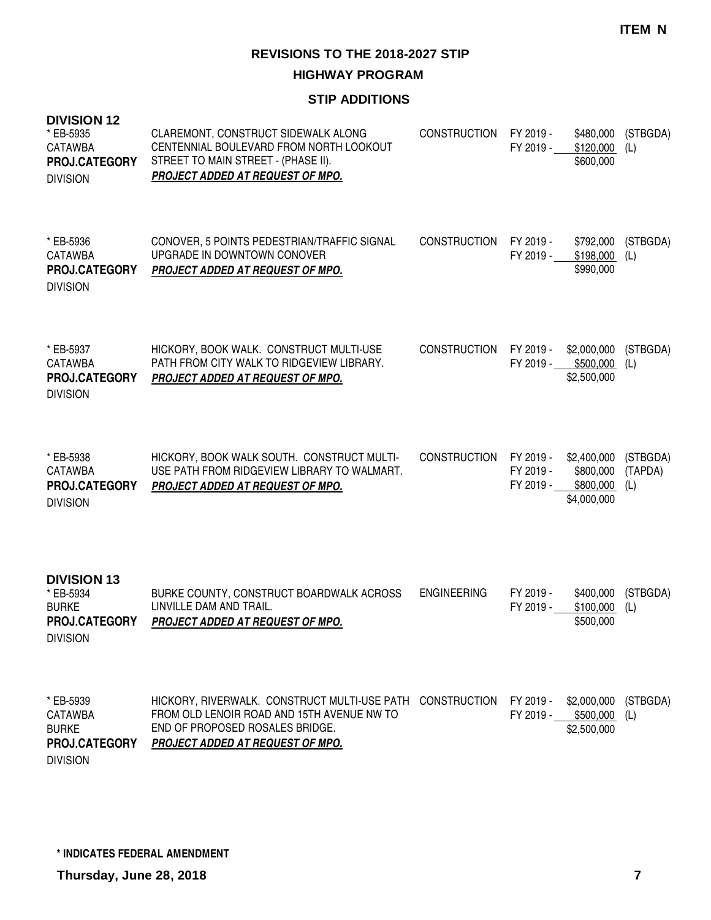**HIGHWAY PROGRAM**

## **STIP ADDITIONS**

| <b>DIVISION 12</b><br>* EB-5935<br><b>CATAWBA</b><br>PROJ.CATEGORY<br><b>DIVISION</b> | CLAREMONT, CONSTRUCT SIDEWALK ALONG<br>CENTENNIAL BOULEVARD FROM NORTH LOOKOUT<br>STREET TO MAIN STREET - (PHASE II).<br><b>PROJECT ADDED AT REQUEST OF MPO.</b>               | <b>CONSTRUCTION</b> | FY 2019 -<br>FY 2019 -              | \$480,000<br>\$120,000<br>\$600,000                  | (STBGDA)<br>(L)            |
|---------------------------------------------------------------------------------------|--------------------------------------------------------------------------------------------------------------------------------------------------------------------------------|---------------------|-------------------------------------|------------------------------------------------------|----------------------------|
| * EB-5936<br><b>CATAWBA</b><br><b>PROJ.CATEGORY</b><br><b>DIVISION</b>                | CONOVER, 5 POINTS PEDESTRIAN/TRAFFIC SIGNAL<br>UPGRADE IN DOWNTOWN CONOVER<br>PROJECT ADDED AT REQUEST OF MPO.                                                                 | <b>CONSTRUCTION</b> | FY 2019 -<br>FY 2019 -              | \$792,000<br>\$198,000<br>\$990,000                  | (STBGDA)<br>(L)            |
| * EB-5937<br><b>CATAWBA</b><br>PROJ.CATEGORY<br><b>DIVISION</b>                       | HICKORY, BOOK WALK. CONSTRUCT MULTI-USE<br>PATH FROM CITY WALK TO RIDGEVIEW LIBRARY.<br>PROJECT ADDED AT REQUEST OF MPO.                                                       | <b>CONSTRUCTION</b> | FY 2019 -<br>FY 2019 -              | \$2,000,000<br>\$500,000<br>\$2,500,000              | (STBGDA)<br>(L)            |
| * EB-5938<br><b>CATAWBA</b><br>PROJ.CATEGORY<br><b>DIVISION</b>                       | HICKORY, BOOK WALK SOUTH. CONSTRUCT MULTI-<br>USE PATH FROM RIDGEVIEW LIBRARY TO WALMART.<br>PROJECT ADDED AT REQUEST OF MPO.                                                  | <b>CONSTRUCTION</b> | FY 2019 -<br>FY 2019 -<br>FY 2019 - | \$2,400,000<br>\$800,000<br>\$800,000<br>\$4,000,000 | (STBGDA)<br>(TAPDA)<br>(L) |
| <b>DIVISION 13</b><br>* EB-5934<br><b>BURKE</b><br>PROJ.CATEGORY<br><b>DIVISION</b>   | BURKE COUNTY, CONSTRUCT BOARDWALK ACROSS<br>LINVILLE DAM AND TRAIL.<br>PROJECT ADDED AT REQUEST OF MPO.                                                                        | <b>ENGINEERING</b>  | FY 2019 -<br>FY 2019 -              | \$400,000<br>\$100,000<br>\$500,000                  | (STBGDA)<br>(L)            |
| * EB-5939<br><b>CATAWBA</b><br><b>BURKE</b><br>PROJ.CATEGORY<br><b>DIVISION</b>       | HICKORY, RIVERWALK. CONSTRUCT MULTI-USE PATH CONSTRUCTION<br>FROM OLD LENOIR ROAD AND 15TH AVENUE NW TO<br>END OF PROPOSED ROSALES BRIDGE.<br>PROJECT ADDED AT REQUEST OF MPO. |                     | FY 2019 -<br>FY 2019 -              | \$2,000,000<br>\$500,000<br>\$2,500,000              | (STBGDA)<br>(L)            |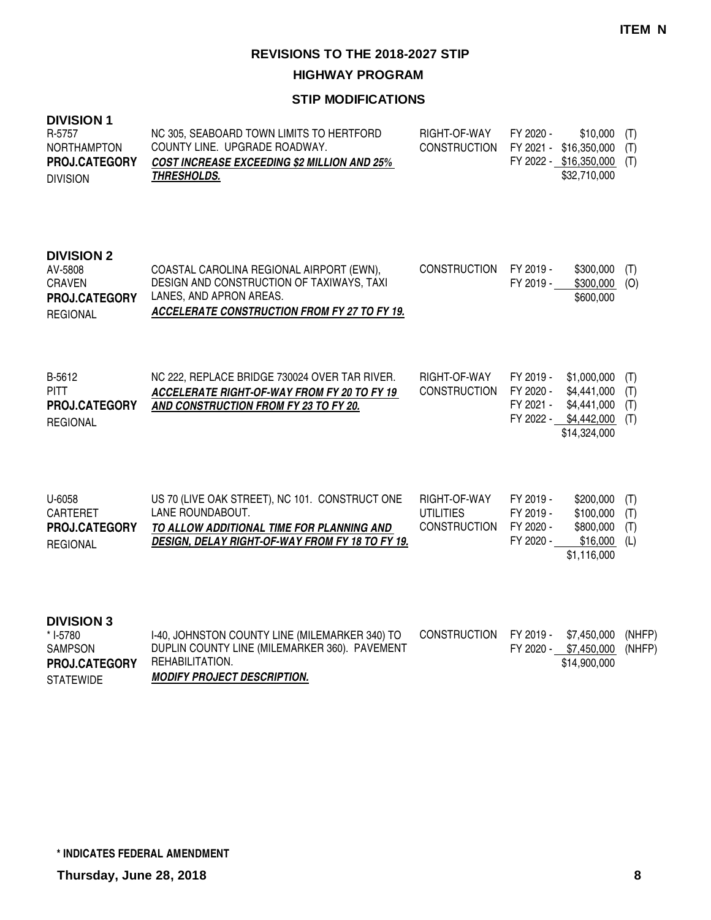**HIGHWAY PROGRAM**

| <b>DIVISION 1</b><br>R-5757<br><b>NORTHAMPTON</b><br>PROJ.CATEGORY<br><b>DIVISION</b> | NC 305, SEABOARD TOWN LIMITS TO HERTFORD<br>COUNTY LINE. UPGRADE ROADWAY.<br><b>COST INCREASE EXCEEDING \$2 MILLION AND 25%</b><br><b>THRESHOLDS.</b>                     | RIGHT-OF-WAY<br><b>CONSTRUCTION</b>                     | FY 2020 -                                        | \$10,000<br>FY 2021 - \$16,350,000<br>FY 2022 - \$16,350,000<br>\$32,710,000 | (T)<br>(T)<br>(T)        |
|---------------------------------------------------------------------------------------|---------------------------------------------------------------------------------------------------------------------------------------------------------------------------|---------------------------------------------------------|--------------------------------------------------|------------------------------------------------------------------------------|--------------------------|
| <b>DIVISION 2</b><br>AV-5808<br><b>CRAVEN</b><br>PROJ.CATEGORY<br><b>REGIONAL</b>     | COASTAL CAROLINA REGIONAL AIRPORT (EWN),<br>DESIGN AND CONSTRUCTION OF TAXIWAYS, TAXI<br>LANES, AND APRON AREAS.<br>ACCELERATE CONSTRUCTION FROM FY 27 TO FY 19.          | <b>CONSTRUCTION</b>                                     | FY 2019 -<br>FY 2019 -                           | \$300,000<br>\$300,000<br>\$600,000                                          | (T)<br>(O)               |
| B-5612<br><b>PITT</b><br>PROJ.CATEGORY<br><b>REGIONAL</b>                             | NC 222, REPLACE BRIDGE 730024 OVER TAR RIVER.<br><b>ACCELERATE RIGHT-OF-WAY FROM FY 20 TO FY 19</b><br>AND CONSTRUCTION FROM FY 23 TO FY 20.                              | RIGHT-OF-WAY<br><b>CONSTRUCTION</b>                     | FY 2019 -<br>FY 2020 -<br>FY 2021 -<br>FY 2022 - | \$1,000,000<br>\$4,441,000<br>\$4,441,000<br>\$4,442,000<br>\$14,324,000     | (T)<br>(T)<br>(T)<br>(T) |
| U-6058<br><b>CARTERET</b><br>PROJ.CATEGORY<br><b>REGIONAL</b>                         | US 70 (LIVE OAK STREET), NC 101. CONSTRUCT ONE<br>LANE ROUNDABOUT.<br>TO ALLOW ADDITIONAL TIME FOR PLANNING AND<br><b>DESIGN, DELAY RIGHT-OF-WAY FROM FY 18 TO FY 19.</b> | RIGHT-OF-WAY<br><b>UTILITIES</b><br><b>CONSTRUCTION</b> | FY 2019 -<br>FY 2019 -<br>FY 2020 -<br>FY 2020 - | \$200,000<br>\$100,000<br>\$800,000<br>\$16,000<br>\$1,116,000               | (T)<br>(T)<br>(T)<br>(L) |
| <b>DIVISION 3</b><br>* I-5780                                                         | I-40, JOHNSTON COUNTY LINE (MILEMARKER 340) TO                                                                                                                            | <b>CONSTRUCTION</b>                                     | FY 2019 -                                        | \$7,450,000                                                                  | (NHFP)                   |

| 1-578∪               | 1-40, JOHNSTON COUNTY LINE (MILEMARKER 340) TO CONSTRUCTION FY 2019 - \$7,450,000 (NHFF) |  |                              |  |
|----------------------|------------------------------------------------------------------------------------------|--|------------------------------|--|
| SAMPSON              | DUPLIN COUNTY LINE (MILEMARKER 360). PAVEMENT                                            |  | FY 2020 - \$7,450,000 (NHFP) |  |
| <b>PROJ.CATEGORY</b> | REHABILITATION.                                                                          |  | \$14,900,000                 |  |
| <b>STATEWIDE</b>     | <b>MODIFY PROJECT DESCRIPTION.</b>                                                       |  |                              |  |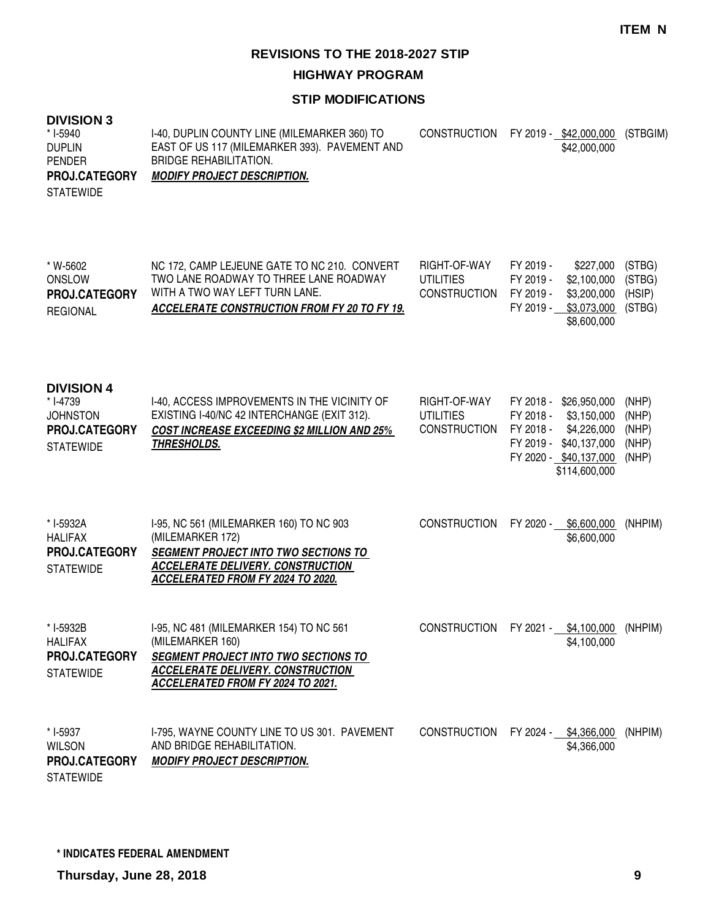**HIGHWAY PROGRAM**

#### **STIP MODIFICATIONS**

#### **DIVISION 3**

| * I-5940             | I-40, DUPLIN COUNTY LINE (MILEMARKER 360) TO  | CONSTRUCTION FY 2019 - \$42,000,000 (STBGIM) |  |
|----------------------|-----------------------------------------------|----------------------------------------------|--|
| <b>DUPLIN</b>        | EAST OF US 117 (MILEMARKER 393). PAVEMENT AND | \$42,000,000                                 |  |
| <b>PENDER</b>        | BRIDGE REHABILITATION.                        |                                              |  |
| <b>PROJ.CATEGORY</b> | <b>MODIFY PROJECT DESCRIPTION.</b>            |                                              |  |
| <b>STATEWIDE</b>     |                                               |                                              |  |

| * W-5602<br>ONSLOW<br><b>PROJ.CATEGORY</b><br><b>REGIONAL</b> | NC 172, CAMP LEJEUNE GATE TO NC 210. CONVERT<br>TWO LANE ROADWAY TO THREE LANE ROADWAY<br>WITH A TWO WAY LEFT TURN LANE.<br>ACCELERATE CONSTRUCTION FROM FY 20 TO FY 19. | RIGHT-OF-WAY<br>UTILITIES<br>CONSTRUCTION FY 2019 - | FY 2019 -<br>FY 2019 -<br>FY 2019 - | \$227.000<br>\$2,100,000 (STBG)<br>\$3,200,000 (HSIP)<br>\$3,073,000 (STBG)<br>\$8,600,000 | (STBG) |
|---------------------------------------------------------------|--------------------------------------------------------------------------------------------------------------------------------------------------------------------------|-----------------------------------------------------|-------------------------------------|--------------------------------------------------------------------------------------------|--------|
|                                                               |                                                                                                                                                                          |                                                     |                                     |                                                                                            |        |

#### **DIVISION 4** I-40, ACCESS IMPROVEMENTS IN THE VICINITY OF EXISTING I-40/NC 42 INTERCHANGE (EXIT 312). **COST INCREASE EXCEEDING \$2 MILLION AND 25% THRESHOLDS.** RIGHT-OF-WAY FY 2018 - \$26,950,000 (NHP) UTILITIES FY 2018 - \$3,150,000 (NHP) CONSTRUCTION FY 2018 - \$4,226,000 (NHP) FY 2019 - \$40,137,000 (NHP) FY 2020 - \$40,137,000 (NHP) \$114,600,000 \* I-4739 **JOHNSTON STATEWIDE PROJ.CATEGORY**

| * I-5932A            | 1-95, NC 561 (MILEMARKER 160) TO NC 903     | CONSTRUCTION FY 2020 - | \$6,600,000 | (NHPIM) |
|----------------------|---------------------------------------------|------------------------|-------------|---------|
| <b>HALIFAX</b>       | (MILEMARKER 172)                            |                        | \$6,600,000 |         |
| <b>PROJ.CATEGORY</b> | <b>SEGMENT PROJECT INTO TWO SECTIONS TO</b> |                        |             |         |
| <b>STATEWIDE</b>     | ACCELERATE DELIVERY. CONSTRUCTION           |                        |             |         |
|                      | ACCELERATED FROM FY 2024 TO 2020.           |                        |             |         |
|                      |                                             |                        |             |         |

| * I-5932B<br><b>HALIFAX</b><br><b>PROJ.CATEGORY</b><br><b>STATEWIDE</b> | 1-95, NC 481 (MILEMARKER 154) TO NC 561<br>(MILEMARKER 160)<br><b>SEGMENT PROJECT INTO TWO SECTIONS TO</b><br>ACCELERATE DELIVERY. CONSTRUCTION<br>ACCELERATED FROM FY 2024 TO 2021. | <b>CONSTRUCTION</b> | FY 2021 - \$4.100.000 | \$4,100,000                | (NHPIM) |
|-------------------------------------------------------------------------|--------------------------------------------------------------------------------------------------------------------------------------------------------------------------------------|---------------------|-----------------------|----------------------------|---------|
| * I-5937<br><b>WILSON</b>                                               | 1-795, WAYNE COUNTY LINE TO US 301. PAVEMENT<br>AND BRIDGE REHABILITATION.                                                                                                           | <b>CONSTRUCTION</b> | FY 2024 -             | \$4,366,000<br>\$4,366,000 | (NHPIM) |

**MODIFY PROJECT DESCRIPTION. PROJ.CATEGORY**

**STATEWIDE**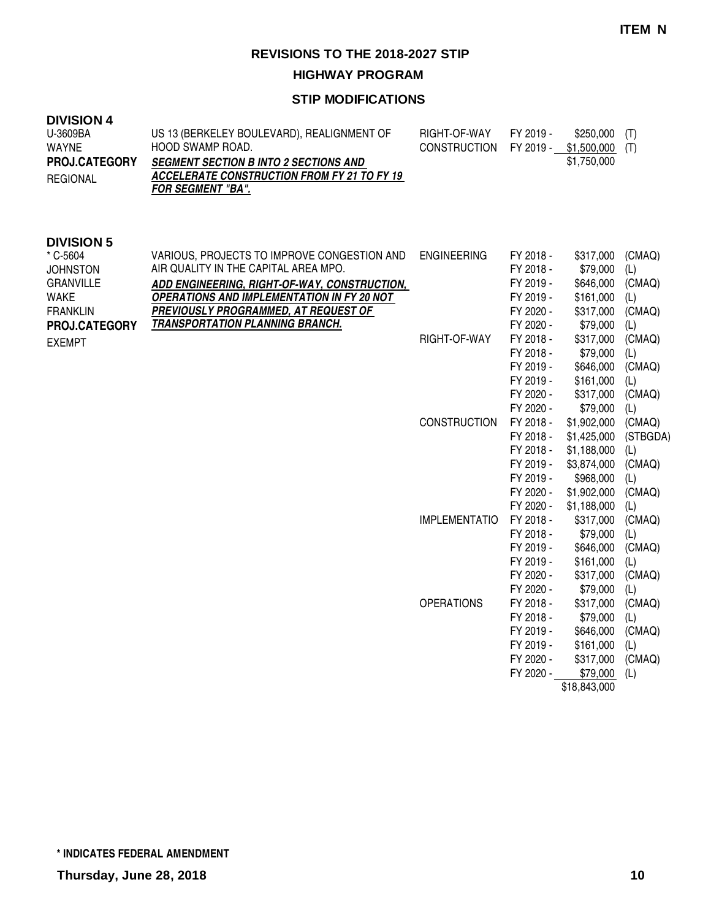**HIGHWAY PROGRAM**

## **STIP MODIFICATIONS**

| <b>DIVISION 4</b><br>U-3609BA<br><b>WAYNE</b><br><b>PROJ.CATEGORY</b><br><b>REGIONAL</b>                                            | US 13 (BERKELEY BOULEVARD), REALIGNMENT OF<br>HOOD SWAMP ROAD.<br><b>SEGMENT SECTION B INTO 2 SECTIONS AND</b><br>ACCELERATE CONSTRUCTION FROM FY 21 TO FY 19<br><b>FOR SEGMENT "BA".</b>                                                                                         | RIGHT-OF-WAY<br><b>CONSTRUCTION</b> | FY 2019 -<br>FY 2019 -                                                                                          | \$250,000<br>\$1,500,000<br>\$1,750,000                                                                               | (T)<br>(T)                                                                 |
|-------------------------------------------------------------------------------------------------------------------------------------|-----------------------------------------------------------------------------------------------------------------------------------------------------------------------------------------------------------------------------------------------------------------------------------|-------------------------------------|-----------------------------------------------------------------------------------------------------------------|-----------------------------------------------------------------------------------------------------------------------|----------------------------------------------------------------------------|
| <b>DIVISION 5</b><br>$*$ C-5604<br><b>JOHNSTON</b><br><b>GRANVILLE</b><br>WAKE<br><b>FRANKLIN</b><br>PROJ.CATEGORY<br><b>EXEMPT</b> | VARIOUS, PROJECTS TO IMPROVE CONGESTION AND<br>AIR QUALITY IN THE CAPITAL AREA MPO.<br>ADD ENGINEERING, RIGHT-OF-WAY, CONSTRUCTION,<br><i><b>OPERATIONS AND IMPLEMENTATION IN FY 20 NOT</b></i><br>PREVIOUSLY PROGRAMMED, AT REQUEST OF<br><b>TRANSPORTATION PLANNING BRANCH.</b> | <b>ENGINEERING</b><br>RIGHT-OF-WAY  | FY 2018 -<br>FY 2018 -<br>FY 2019 -<br>FY 2019 -<br>FY 2020 -<br>FY 2020 -<br>FY 2018 -<br>FY 2018 -<br>EV 2010 | \$317,000<br>\$79.000<br>\$646,000<br>\$161,000<br>\$317,000<br>\$79,000<br>\$317,000<br>\$79,000<br><i>RAJA N</i> ON | (CMAQ)<br>(L)<br>(CMAQ)<br>(L)<br>(CMAQ)<br>(L)<br>(CMAQ)<br>(L)<br>(OMAO) |

|                      |           | <b>UI UIUU</b> | \ – /    |
|----------------------|-----------|----------------|----------|
|                      | FY 2019 - | \$646,000      | (CMAQ)   |
|                      | FY 2019 - | \$161,000      | (L)      |
|                      | FY 2020 - | \$317,000      | (CMAQ)   |
|                      | FY 2020 - | \$79,000       | (L)      |
| CONSTRUCTION         | FY 2018 - | \$1,902,000    | (CMAQ)   |
|                      | FY 2018 - | \$1,425,000    | (STBGDA) |
|                      | FY 2018 - | \$1,188,000    | (L)      |
|                      | FY 2019 - | \$3,874,000    | (CMAQ)   |
|                      | FY 2019 - | \$968,000      | (L)      |
|                      | FY 2020 - | \$1,902,000    | (CMAQ)   |
|                      | FY 2020 - | \$1,188,000    | (L)      |
| <b>IMPLEMENTATIO</b> | FY 2018 - | \$317,000      | (CMAQ)   |
|                      | FY 2018 - | \$79,000       | (L)      |
|                      | FY 2019 - | \$646,000      | (CMAQ)   |
|                      | FY 2019 - | \$161,000      | (L)      |
|                      | FY 2020 - | \$317,000      | (CMAQ)   |
|                      | FY 2020 - | \$79,000       | (L)      |
| OPERATIONS           | FY 2018 - | \$317,000      | (CMAQ)   |
|                      | FY 2018 - | \$79,000       | (L)      |
|                      | FY 2019 - | \$646,000      | (CMAQ)   |
|                      | FY 2019 - | \$161,000      | (L)      |
|                      | FY 2020 - | \$317,000      | (CMAQ)   |

\$18,843,000

FY 2020 - \$79,000 (L)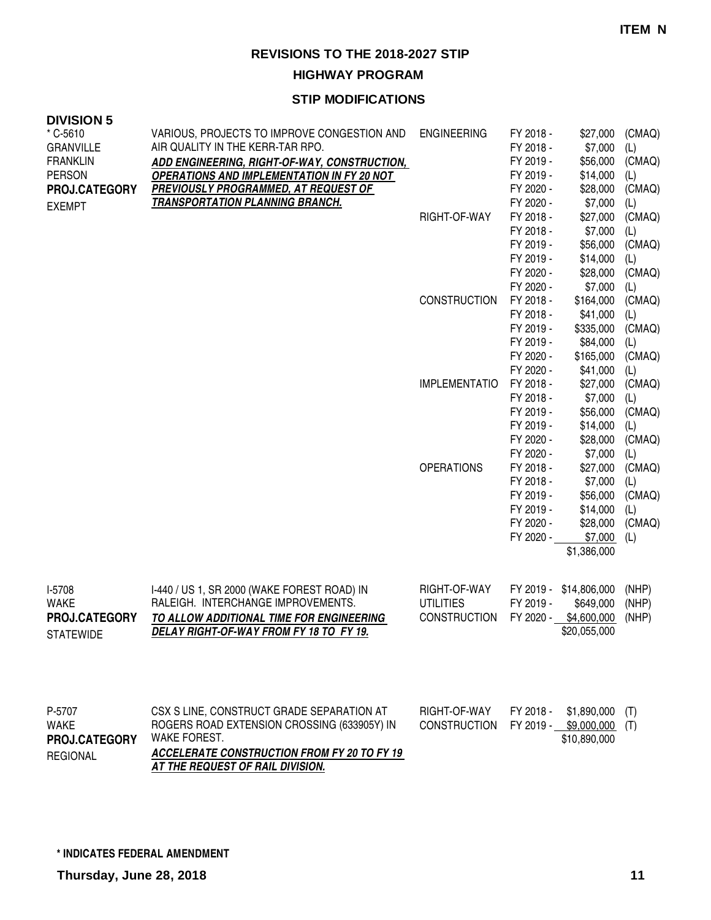**HIGHWAY PROGRAM**

| <b>DIVISION 5</b><br>* C-5610<br><b>GRANVILLE</b><br><b>FRANKLIN</b><br><b>PERSON</b><br>PROJ.CATEGORY | VARIOUS, PROJECTS TO IMPROVE CONGESTION AND<br>AIR QUALITY IN THE KERR-TAR RPO.<br>ADD ENGINEERING, RIGHT-OF-WAY, CONSTRUCTION,<br><b>OPERATIONS AND IMPLEMENTATION IN FY 20 NOT</b><br><b>PREVIOUSLY PROGRAMMED, AT REQUEST OF</b><br><b>TRANSPORTATION PLANNING BRANCH.</b> | <b>ENGINEERING</b>                                      | FY 2018 -<br>FY 2018 -<br>FY 2019 -<br>FY 2019 -<br>FY 2020 -<br>FY 2020 - | \$27,000<br>\$7,000<br>\$56,000<br>\$14,000<br>\$28,000<br>\$7,000                | (CMAQ)<br>(L)<br>(CMAQ)<br>(L)<br>(CMAQ)<br>(L) |
|--------------------------------------------------------------------------------------------------------|-------------------------------------------------------------------------------------------------------------------------------------------------------------------------------------------------------------------------------------------------------------------------------|---------------------------------------------------------|----------------------------------------------------------------------------|-----------------------------------------------------------------------------------|-------------------------------------------------|
| <b>EXEMPT</b>                                                                                          |                                                                                                                                                                                                                                                                               | RIGHT-OF-WAY                                            | FY 2018 -<br>FY 2018 -<br>FY 2019 -<br>FY 2019 -<br>FY 2020 -<br>FY 2020 - | \$27,000<br>\$7,000<br>\$56,000<br>\$14,000<br>\$28,000<br>\$7,000                | (CMAQ)<br>(L)<br>(CMAQ)<br>(L)<br>(CMAQ)<br>(L) |
|                                                                                                        |                                                                                                                                                                                                                                                                               | <b>CONSTRUCTION</b>                                     | FY 2018 -<br>FY 2018 -<br>FY 2019 -<br>FY 2019 -<br>FY 2020 -<br>FY 2020 - | \$164,000<br>\$41,000<br>\$335,000<br>\$84,000<br>\$165,000<br>\$41,000           | (CMAQ)<br>(L)<br>(CMAQ)<br>(L)<br>(CMAQ)<br>(L) |
|                                                                                                        |                                                                                                                                                                                                                                                                               | <b>IMPLEMENTATIO</b>                                    | FY 2018 -<br>FY 2018 -<br>FY 2019 -<br>FY 2019 -<br>FY 2020 -<br>FY 2020 - | \$27,000<br>\$7,000<br>\$56,000<br>\$14,000<br>\$28,000<br>\$7,000                | (CMAQ)<br>(L)<br>(CMAQ)<br>(L)<br>(CMAQ)<br>(L) |
|                                                                                                        |                                                                                                                                                                                                                                                                               | <b>OPERATIONS</b>                                       | FY 2018 -<br>FY 2018 -<br>FY 2019 -<br>FY 2019 -<br>FY 2020 -<br>FY 2020 - | \$27,000<br>\$7,000<br>\$56,000<br>\$14,000<br>\$28,000<br>\$7,000<br>\$1,386,000 | (CMAQ)<br>(L)<br>(CMAQ)<br>(L)<br>(CMAQ)<br>(L) |
| I-5708<br><b>WAKE</b><br>PROJ.CATEGORY<br><b>STATEWIDE</b>                                             | 1-440 / US 1, SR 2000 (WAKE FOREST ROAD) IN<br>RALEIGH. INTERCHANGE IMPROVEMENTS.<br>TO ALLOW ADDITIONAL TIME FOR ENGINEERING<br>DELAY RIGHT-OF-WAY FROM FY 18 TO FY 19.                                                                                                      | RIGHT-OF-WAY<br><b>UTILITIES</b><br><b>CONSTRUCTION</b> | FY 2019 -<br>FY 2020 -                                                     | FY 2019 - \$14,806,000<br>\$649,000<br>\$4,600,000<br>\$20,055,000                | (NHP)<br>(NHP)<br>(NHP)                         |
| P-5707<br>WAKE<br>PROJ.CATEGORY<br><b>REGIONAL</b>                                                     | CSX S LINE, CONSTRUCT GRADE SEPARATION AT<br>ROGERS ROAD EXTENSION CROSSING (633905Y) IN<br><b>WAKE FOREST.</b><br><b>ACCELERATE CONSTRUCTION FROM FY 20 TO FY 19</b><br>AT THE REQUEST OF RAIL DIVISION.                                                                     | RIGHT-OF-WAY<br>CONSTRUCTION                            | FY 2018 -                                                                  | \$1,890,000<br>FY 2019 - \$9,000,000<br>\$10,890,000                              | (T)<br>(T)                                      |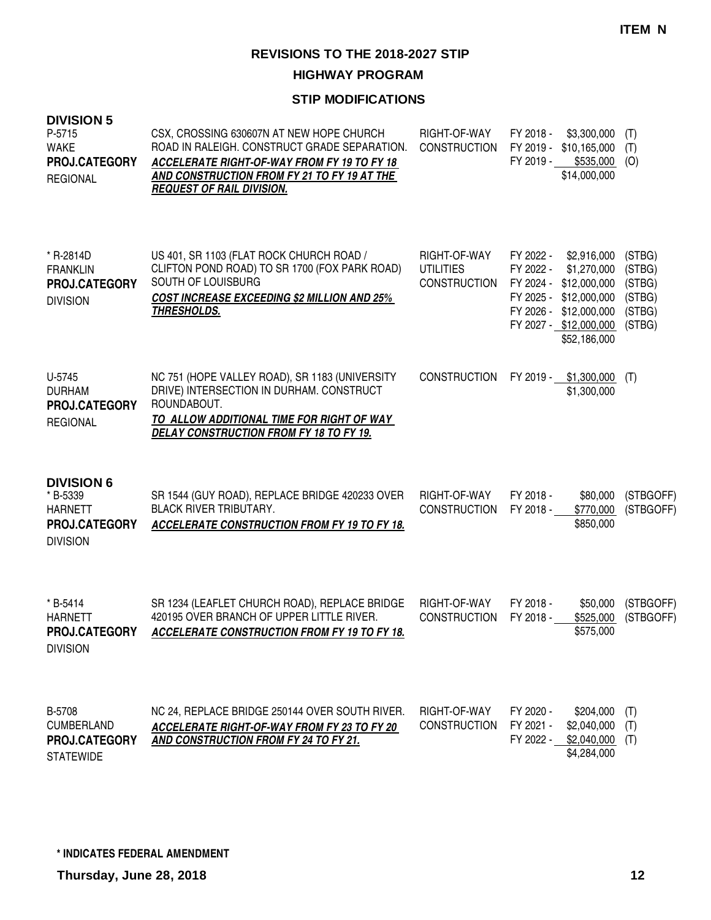**HIGHWAY PROGRAM**

| <b>DIVISION 5</b><br>P-5715<br><b>WAKE</b><br>PROJ.CATEGORY<br><b>REGIONAL</b>      | CSX, CROSSING 630607N AT NEW HOPE CHURCH<br>ROAD IN RALEIGH. CONSTRUCT GRADE SEPARATION.<br><b>ACCELERATE RIGHT-OF-WAY FROM FY 19 TO FY 18</b><br>AND CONSTRUCTION FROM FY 21 TO FY 19 AT THE<br><b>REQUEST OF RAIL DIVISION.</b> | RIGHT-OF-WAY<br><b>CONSTRUCTION</b>                     | FY 2018 -<br>\$3,300,000<br>FY 2019 - \$10,165,000<br>FY 2019 -<br>$$535,000$ (O)<br>\$14,000,000                                                                            | (T)<br>(T)                                               |
|-------------------------------------------------------------------------------------|-----------------------------------------------------------------------------------------------------------------------------------------------------------------------------------------------------------------------------------|---------------------------------------------------------|------------------------------------------------------------------------------------------------------------------------------------------------------------------------------|----------------------------------------------------------|
| * R-2814D<br><b>FRANKLIN</b><br>PROJ.CATEGORY<br><b>DIVISION</b>                    | US 401, SR 1103 (FLAT ROCK CHURCH ROAD /<br>CLIFTON POND ROAD) TO SR 1700 (FOX PARK ROAD)<br>SOUTH OF LOUISBURG<br><b>COST INCREASE EXCEEDING \$2 MILLION AND 25%</b><br><b>THRESHOLDS.</b>                                       | RIGHT-OF-WAY<br><b>UTILITIES</b><br><b>CONSTRUCTION</b> | \$2,916,000<br>FY 2022 -<br>FY 2022 -<br>\$1,270,000<br>FY 2024 - \$12,000,000<br>FY 2025 - \$12,000,000<br>FY 2026 - \$12,000,000<br>FY 2027 - \$12,000,000<br>\$52,186,000 | (STBG)<br>(STBG)<br>(STBG)<br>(STBG)<br>(STBG)<br>(STBG) |
| U-5745<br><b>DURHAM</b><br>PROJ.CATEGORY<br><b>REGIONAL</b>                         | NC 751 (HOPE VALLEY ROAD), SR 1183 (UNIVERSITY<br>DRIVE) INTERSECTION IN DURHAM. CONSTRUCT<br>ROUNDABOUT.<br>TO ALLOW ADDITIONAL TIME FOR RIGHT OF WAY<br>DELAY CONSTRUCTION FROM FY 18 TO FY 19.                                 | <b>CONSTRUCTION</b>                                     | FY 2019 - \$1,300,000 (T)<br>\$1,300,000                                                                                                                                     |                                                          |
| <b>DIVISION 6</b><br>* B-5339<br><b>HARNETT</b><br>PROJ.CATEGORY<br><b>DIVISION</b> | SR 1544 (GUY ROAD), REPLACE BRIDGE 420233 OVER<br><b>BLACK RIVER TRIBUTARY.</b><br><b>ACCELERATE CONSTRUCTION FROM FY 19 TO FY 18.</b>                                                                                            | RIGHT-OF-WAY<br><b>CONSTRUCTION</b>                     | FY 2018 -<br>\$80,000<br>\$770,000<br>FY 2018 -<br>\$850,000                                                                                                                 | (STBGOFF)<br>(STBGOFF)                                   |
| * B-5414<br><b>HARNETT</b><br><b>PROJ.CATEGORY</b><br><b>DIVISION</b>               | SR 1234 (LEAFLET CHURCH ROAD), REPLACE BRIDGE<br>420195 OVER BRANCH OF UPPER LITTLE RIVER.<br><b>ACCELERATE CONSTRUCTION FROM FY 19 TO FY 18.</b>                                                                                 | RIGHT-OF-WAY<br><b>CONSTRUCTION</b>                     | FY 2018 -<br>\$50,000<br>FY 2018 -<br>\$525,000<br>\$575,000                                                                                                                 | (STBGOFF)<br>(STBGOFF)                                   |
| B-5708<br><b>CUMBERLAND</b><br>PROJ.CATEGORY<br><b>STATEWIDE</b>                    | NC 24, REPLACE BRIDGE 250144 OVER SOUTH RIVER.<br><b>ACCELERATE RIGHT-OF-WAY FROM FY 23 TO FY 20</b><br><b>AND CONSTRUCTION FROM FY 24 TO FY 21.</b>                                                                              | RIGHT-OF-WAY<br><b>CONSTRUCTION</b>                     | FY 2020 -<br>\$204,000<br>FY 2021 -<br>\$2,040,000<br>FY 2022 -<br>\$2,040,000<br>\$4,284,000                                                                                | (T)<br>(T)<br>(T)                                        |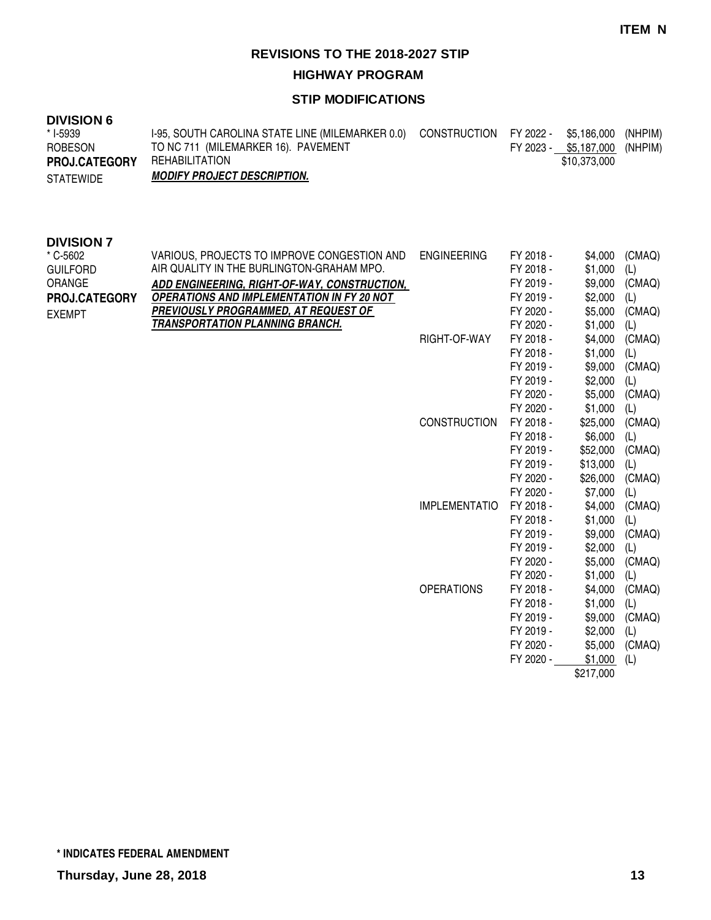## **HIGHWAY PROGRAM**

## **STIP MODIFICATIONS**

| <b>DIVISION 6</b>    |                                                  |              |                               |  |
|----------------------|--------------------------------------------------|--------------|-------------------------------|--|
| * I-5939             | 1-95, SOUTH CAROLINA STATE LINE (MILEMARKER 0.0) | CONSTRUCTION | FY 2022 - \$5,186,000 (NHPIM) |  |
| ROBESON              | TO NC 711 (MILEMARKER 16). PAVEMENT              |              | FY 2023 - \$5,187,000 (NHPIM) |  |
| <b>PROJ.CATEGORY</b> | <b>REHABILITATION</b>                            |              | \$10,373,000                  |  |
| <b>STATEWIDE</b>     | <b>MODIFY PROJECT DESCRIPTION.</b>               |              |                               |  |

#### **DIVISION 7**

| * C-5602        | VARIOUS, PROJECTS TO IMPROVE CONGESTION AND       | <b>ENGINEERING</b>   | FY 2018 - | \$4,000   | (CMAQ) |
|-----------------|---------------------------------------------------|----------------------|-----------|-----------|--------|
| <b>GUILFORD</b> | AIR QUALITY IN THE BURLINGTON-GRAHAM MPO.         |                      | FY 2018 - | \$1,000   | (L)    |
| ORANGE          | ADD ENGINEERING, RIGHT-OF-WAY, CONSTRUCTION,      |                      | FY 2019 - | \$9,000   | (CMAQ) |
| PROJ.CATEGORY   | <b>OPERATIONS AND IMPLEMENTATION IN FY 20 NOT</b> |                      | FY 2019 - | \$2,000   | (L)    |
| <b>EXEMPT</b>   | PREVIOUSLY PROGRAMMED, AT REQUEST OF              |                      | FY 2020 - | \$5,000   | (CMAQ) |
|                 | <b>TRANSPORTATION PLANNING BRANCH.</b>            |                      | FY 2020 - | \$1,000   | (L)    |
|                 |                                                   | RIGHT-OF-WAY         | FY 2018 - | \$4,000   | (CMAQ) |
|                 |                                                   |                      | FY 2018 - | \$1,000   | (L)    |
|                 |                                                   |                      | FY 2019 - | \$9,000   | (CMAQ) |
|                 |                                                   |                      | FY 2019 - | \$2,000   | (L)    |
|                 |                                                   |                      | FY 2020 - | \$5,000   | (CMAQ) |
|                 |                                                   |                      | FY 2020 - | \$1,000   | (L)    |
|                 |                                                   | <b>CONSTRUCTION</b>  | FY 2018 - | \$25,000  | (CMAQ) |
|                 |                                                   |                      | FY 2018 - | \$6,000   | (L)    |
|                 |                                                   |                      | FY 2019 - | \$52,000  | (CMAQ) |
|                 |                                                   |                      | FY 2019 - | \$13,000  | (L)    |
|                 |                                                   |                      | FY 2020 - | \$26,000  | (CMAQ) |
|                 |                                                   |                      | FY 2020 - | \$7,000   | (L)    |
|                 |                                                   | <b>IMPLEMENTATIO</b> | FY 2018 - | \$4,000   | (CMAQ) |
|                 |                                                   |                      | FY 2018 - | \$1,000   | (L)    |
|                 |                                                   |                      | FY 2019 - | \$9,000   | (CMAQ) |
|                 |                                                   |                      | FY 2019 - | \$2,000   | (L)    |
|                 |                                                   |                      | FY 2020 - | \$5,000   | (CMAQ) |
|                 |                                                   |                      | FY 2020 - | \$1,000   | (L)    |
|                 |                                                   | <b>OPERATIONS</b>    | FY 2018 - | \$4,000   | (CMAQ) |
|                 |                                                   |                      | FY 2018 - | \$1,000   | (L)    |
|                 |                                                   |                      | FY 2019 - | \$9,000   | (CMAQ) |
|                 |                                                   |                      | FY 2019 - | \$2,000   | (L)    |
|                 |                                                   |                      | FY 2020 - | \$5,000   | (CMAQ) |
|                 |                                                   |                      | FY 2020 - | \$1,000   | (L)    |
|                 |                                                   |                      |           | \$217,000 |        |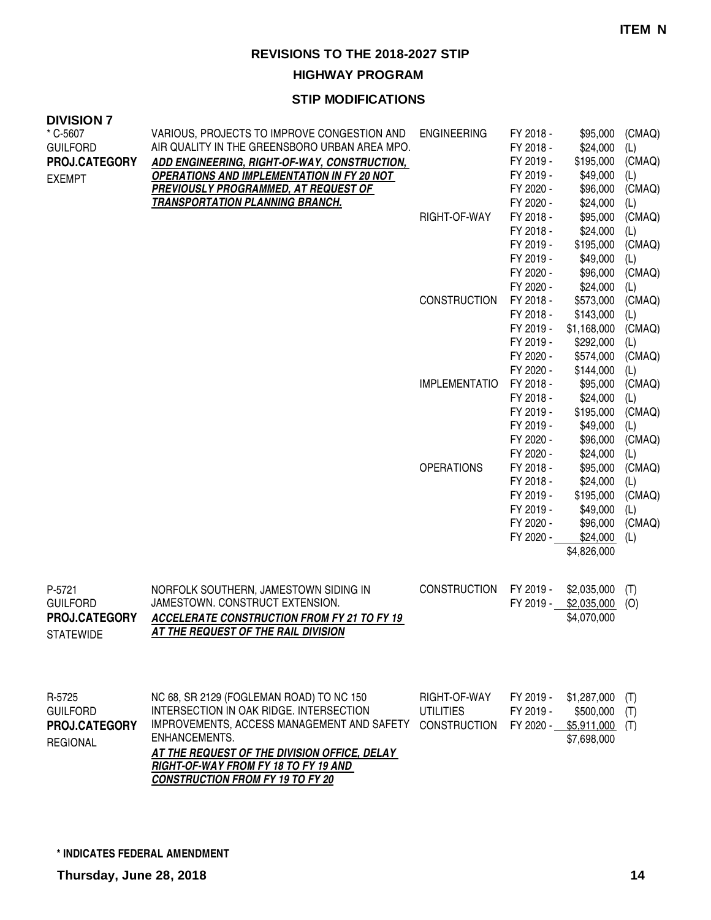**HIGHWAY PROGRAM**

#### **STIP MODIFICATIONS**

| <b>DIVISION 7</b><br>* C-5607                                  |                                                                                                                                                                                                                                                                                              | <b>ENGINEERING</b>                                      | FY 2018 -                                                                               | \$95,000                                                                                         | (CMAQ)                                                 |
|----------------------------------------------------------------|----------------------------------------------------------------------------------------------------------------------------------------------------------------------------------------------------------------------------------------------------------------------------------------------|---------------------------------------------------------|-----------------------------------------------------------------------------------------|--------------------------------------------------------------------------------------------------|--------------------------------------------------------|
| <b>GUILFORD</b><br>PROJ.CATEGORY<br><b>EXEMPT</b>              | VARIOUS, PROJECTS TO IMPROVE CONGESTION AND<br>AIR QUALITY IN THE GREENSBORO URBAN AREA MPO.<br>ADD ENGINEERING, RIGHT-OF-WAY, CONSTRUCTION,<br><b>OPERATIONS AND IMPLEMENTATION IN FY 20 NOT</b><br>PREVIOUSLY PROGRAMMED, AT REQUEST OF<br><b>TRANSPORTATION PLANNING BRANCH.</b>          |                                                         | FY 2018 -<br>FY 2019 -<br>FY 2019 -<br>FY 2020 -<br>FY 2020 -                           | \$24,000<br>\$195,000<br>\$49,000<br>\$96,000<br>\$24,000                                        | (L)<br>(CMAQ)<br>(L)<br>(CMAQ)<br>(L)                  |
|                                                                |                                                                                                                                                                                                                                                                                              | RIGHT-OF-WAY                                            | FY 2018 -<br>FY 2018 -<br>FY 2019 -<br>FY 2019 -<br>FY 2020 -                           | \$95,000<br>\$24,000<br>\$195,000<br>\$49,000<br>\$96,000                                        | (CMAQ)<br>(L)<br>(CMAQ)<br>(L)<br>(CMAQ)               |
|                                                                |                                                                                                                                                                                                                                                                                              | <b>CONSTRUCTION</b>                                     | FY 2020 -<br>FY 2018 -<br>FY 2018 -<br>FY 2019 -<br>FY 2019 -<br>FY 2020 -              | \$24,000<br>\$573,000<br>\$143,000<br>\$1,168,000<br>\$292,000<br>\$574,000                      | (L)<br>(CMAQ)<br>(L)<br>(CMAQ)<br>(L)<br>(CMAQ)        |
|                                                                |                                                                                                                                                                                                                                                                                              | <b>IMPLEMENTATIO</b>                                    | FY 2020 -<br>FY 2018 -<br>FY 2018 -<br>FY 2019 -<br>FY 2019 -<br>FY 2020 -              | \$144,000<br>\$95,000<br>\$24,000<br>\$195,000<br>\$49,000<br>\$96,000                           | (L)<br>(CMAQ)<br>(L)<br>(CMAQ)<br>(L)<br>(CMAQ)        |
|                                                                |                                                                                                                                                                                                                                                                                              | <b>OPERATIONS</b>                                       | FY 2020 -<br>FY 2018 -<br>FY 2018 -<br>FY 2019 -<br>FY 2019 -<br>FY 2020 -<br>FY 2020 - | \$24,000<br>\$95,000<br>\$24,000<br>\$195,000<br>\$49,000<br>\$96,000<br>\$24,000<br>\$4,826,000 | (L)<br>(CMAQ)<br>(L)<br>(CMAQ)<br>(L)<br>(CMAQ)<br>(L) |
| P-5721<br><b>GUILFORD</b><br>PROJ.CATEGORY<br><b>STATEWIDE</b> | NORFOLK SOUTHERN, JAMESTOWN SIDING IN<br>JAMESTOWN. CONSTRUCT EXTENSION.<br><b>ACCELERATE CONSTRUCTION FROM FY 21 TO FY 19</b><br><u>AT THE REQUEST OF THE RAIL DIVISION</u>                                                                                                                 | <b>CONSTRUCTION</b>                                     | FY 2019 -<br>FY 2019 -                                                                  | \$2,035,000<br>\$2,035,000<br>\$4,070,000                                                        | (T)<br>(O)                                             |
| R-5725<br><b>GUILFORD</b><br>PROJ.CATEGORY<br><b>REGIONAL</b>  | NC 68, SR 2129 (FOGLEMAN ROAD) TO NC 150<br>INTERSECTION IN OAK RIDGE. INTERSECTION<br>IMPROVEMENTS, ACCESS MANAGEMENT AND SAFETY<br>ENHANCEMENTS.<br><b>AT THE REQUEST OF THE DIVISION OFFICE, DELAY</b><br>RIGHT-OF-WAY FROM FY 18 TO FY 19 AND<br><b>CONSTRUCTION FROM FY 19 TO FY 20</b> | RIGHT-OF-WAY<br><b>UTILITIES</b><br><b>CONSTRUCTION</b> | FY 2019 -<br>FY 2019 -<br>FY 2020 -                                                     | \$1,287,000<br>\$500,000<br>\$5,911,000<br>\$7,698,000                                           | (T)<br>(T)<br>(T)                                      |

**\* INDICATES FEDERAL AMENDMENT**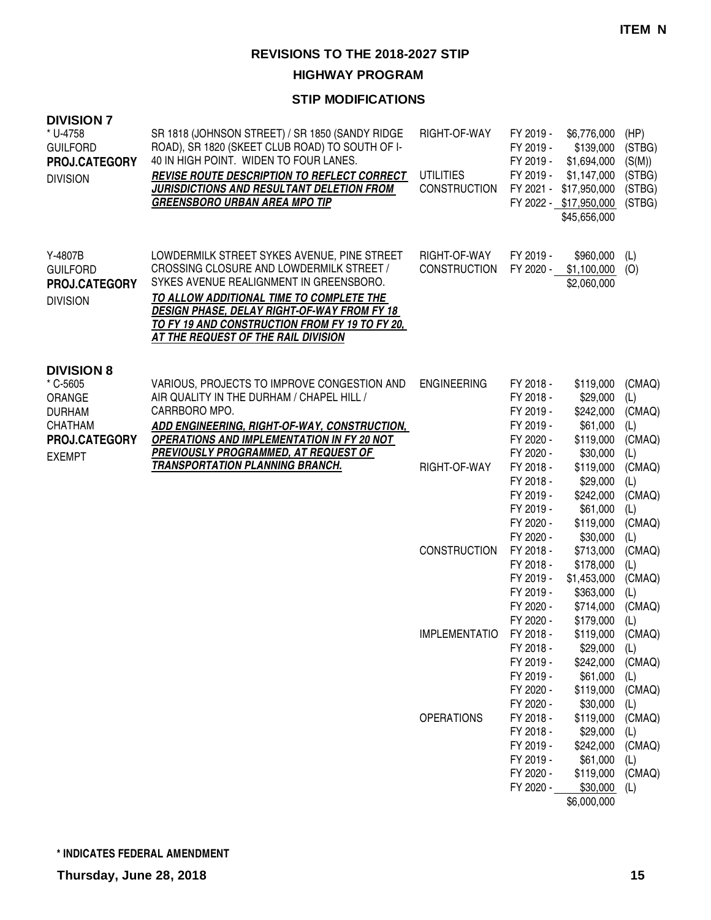**HIGHWAY PROGRAM**

| <b>DIVISION 7</b><br>* U-4758<br><b>GUILFORD</b><br>PROJ.CATEGORY<br><b>DIVISION</b>        | SR 1818 (JOHNSON STREET) / SR 1850 (SANDY RIDGE<br>ROAD), SR 1820 (SKEET CLUB ROAD) TO SOUTH OF I-<br>40 IN HIGH POINT. WIDEN TO FOUR LANES.<br>REVISE ROUTE DESCRIPTION TO REFLECT CORRECT<br>JURISDICTIONS AND RESULTANT DELETION FROM<br><b>GREENSBORO URBAN AREA MPO TIP</b>                                                     | RIGHT-OF-WAY<br><b>UTILITIES</b><br><b>CONSTRUCTION</b> | FY 2019 -<br>FY 2019 -<br>FY 2019 -<br>FY 2019 -<br>FY 2021 -                           | \$6,776,000<br>\$139,000<br>\$1,694,000<br>\$1,147,000<br>\$17,950,000<br>FY 2022 - \$17,950,000<br>\$45,656,000 | (HP)<br>(STBG)<br>(S(M))<br>(STBG)<br>(STBG)<br>(STBG) |
|---------------------------------------------------------------------------------------------|--------------------------------------------------------------------------------------------------------------------------------------------------------------------------------------------------------------------------------------------------------------------------------------------------------------------------------------|---------------------------------------------------------|-----------------------------------------------------------------------------------------|------------------------------------------------------------------------------------------------------------------|--------------------------------------------------------|
| Y-4807B<br><b>GUILFORD</b><br>PROJ.CATEGORY<br><b>DIVISION</b>                              | LOWDERMILK STREET SYKES AVENUE, PINE STREET<br>CROSSING CLOSURE AND LOWDERMILK STREET /<br>SYKES AVENUE REALIGNMENT IN GREENSBORO.<br>TO ALLOW ADDITIONAL TIME TO COMPLETE THE<br><b>DESIGN PHASE, DELAY RIGHT-OF-WAY FROM FY 18</b><br>TO FY 19 AND CONSTRUCTION FROM FY 19 TO FY 20,<br><u>AT THE REQUEST OF THE RAIL DIVISION</u> | RIGHT-OF-WAY<br><b>CONSTRUCTION</b>                     | FY 2019 -<br>FY 2020 -                                                                  | \$960,000<br>\$1,100,000<br>\$2,060,000                                                                          | (L)<br>(O)                                             |
| <b>DIVISION 8</b><br>* C-5605<br>ORANGE<br><b>DURHAM</b><br><b>CHATHAM</b><br>PROJ.CATEGORY | VARIOUS, PROJECTS TO IMPROVE CONGESTION AND<br>AIR QUALITY IN THE DURHAM / CHAPEL HILL /<br>CARRBORO MPO.<br><b>ADD ENGINEERING, RIGHT-OF-WAY, CONSTRUCTION,</b><br><b>OPERATIONS AND IMPLEMENTATION IN FY 20 NOT</b><br>PREVIOUSLY PROGRAMMED, AT REQUEST OF                                                                        | <b>ENGINEERING</b>                                      | FY 2018 -<br>FY 2018 -<br>FY 2019 -<br>FY 2019 -<br>FY 2020 -<br>FY 2020 -              | \$119,000<br>\$29,000<br>\$242,000<br>\$61,000<br>\$119,000<br>\$30,000                                          | (CMAQ)<br>(L)<br>(CMAQ)<br>(L)<br>(CMAQ)<br>(L)        |
| <b>EXEMPT</b>                                                                               | <b>TRANSPORTATION PLANNING BRANCH.</b>                                                                                                                                                                                                                                                                                               | RIGHT-OF-WAY                                            | FY 2018 -<br>FY 2018 -<br>FY 2019 -<br>FY 2019 -<br>FY 2020 -                           | \$119,000<br>\$29,000<br>\$242,000<br>\$61,000<br>\$119,000                                                      | (CMAQ)<br>(L)<br>(CMAQ)<br>(L)<br>(CMAQ)               |
|                                                                                             |                                                                                                                                                                                                                                                                                                                                      | <b>CONSTRUCTION</b>                                     | FY 2020 -<br>FY 2018 -<br>FY 2018 -<br>FY 2019 -<br>FY 2019 -<br>FY 2020 -              | \$30,000<br>\$713,000<br>\$178,000<br>\$1,453,000<br>\$363,000<br>\$714,000                                      | (L)<br>(CMAQ)<br>(L)<br>(CMAQ)<br>(L)<br>(CMAQ)        |
|                                                                                             |                                                                                                                                                                                                                                                                                                                                      | IMPLEMENTATIO FY 2018 -                                 | FY 2020 -<br>FY 2018 -<br>FY 2019 -<br>FY 2019 -<br>FY 2020 -                           | \$179,000<br>\$119,000<br>\$29,000<br>\$242,000<br>\$61,000<br>\$119,000                                         | (L)<br>(CMAQ)<br>(L)<br>(CMAQ)<br>(L)<br>(CMAQ)        |
|                                                                                             |                                                                                                                                                                                                                                                                                                                                      | <b>OPERATIONS</b>                                       | FY 2020 -<br>FY 2018 -<br>FY 2018 -<br>FY 2019 -<br>FY 2019 -<br>FY 2020 -<br>FY 2020 - | \$30,000<br>\$119,000<br>\$29,000<br>\$242,000<br>\$61,000<br>\$119,000<br>\$30,000<br>\$6,000,000               | (L)<br>(CMAQ)<br>(L)<br>(CMAQ)<br>(L)<br>(CMAQ)<br>(L) |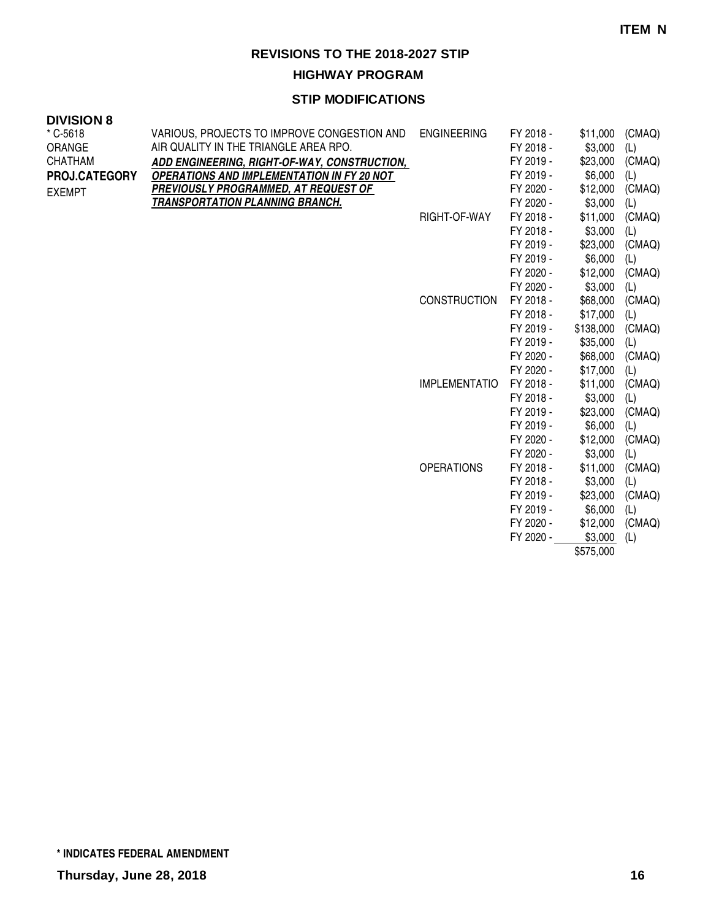**HIGHWAY PROGRAM**

| <b>DIVISION 8</b> |  |
|-------------------|--|
| $*$ C-5618        |  |

| $*$ C-5618<br><b>ORANGE</b> | VARIOUS, PROJECTS TO IMPROVE CONGESTION AND<br>AIR QUALITY IN THE TRIANGLE AREA RPO.              | <b>ENGINEERING</b>   | FY 2018 -              | \$11,000            | (CMAQ)        |
|-----------------------------|---------------------------------------------------------------------------------------------------|----------------------|------------------------|---------------------|---------------|
| <b>CHATHAM</b>              |                                                                                                   |                      | FY 2018 -<br>FY 2019 - | \$3,000<br>\$23,000 | (L)<br>(CMAQ) |
| PROJ.CATEGORY               | ADD ENGINEERING, RIGHT-OF-WAY, CONSTRUCTION,<br><b>OPERATIONS AND IMPLEMENTATION IN FY 20 NOT</b> |                      | FY 2019 -              | \$6,000             | (L)           |
|                             | PREVIOUSLY PROGRAMMED, AT REQUEST OF                                                              |                      | FY 2020 -              | \$12,000            | (CMAQ)        |
| <b>EXEMPT</b>               | TRANSPORTATION PLANNING BRANCH.                                                                   |                      | FY 2020 -              | \$3,000             | (L)           |
|                             |                                                                                                   | RIGHT-OF-WAY         | FY 2018 -              | \$11,000            | (CMAQ)        |
|                             |                                                                                                   |                      | FY 2018 -              | \$3,000             | (L)           |
|                             |                                                                                                   |                      | FY 2019 -              | \$23,000            | (CMAQ)        |
|                             |                                                                                                   |                      | FY 2019 -              | \$6,000             | (L)           |
|                             |                                                                                                   |                      | FY 2020 -              | \$12,000            | (CMAQ)        |
|                             |                                                                                                   |                      | FY 2020 -              | \$3,000             | (L)           |
|                             |                                                                                                   | <b>CONSTRUCTION</b>  | FY 2018 -              | \$68,000            | (CMAQ)        |
|                             |                                                                                                   |                      | FY 2018 -              | \$17,000            | (L)           |
|                             |                                                                                                   |                      | FY 2019 -              | \$138,000           | (CMAQ)        |
|                             |                                                                                                   |                      | FY 2019 -              | \$35,000            | (L)           |
|                             |                                                                                                   |                      | FY 2020 -              | \$68,000            | (CMAQ)        |
|                             |                                                                                                   |                      | FY 2020 -              | \$17,000            | (L)           |
|                             |                                                                                                   | <b>IMPLEMENTATIO</b> | FY 2018 -              | \$11,000            | (CMAQ)        |
|                             |                                                                                                   |                      | FY 2018 -              | \$3,000             | (L)           |
|                             |                                                                                                   |                      | FY 2019 -              | \$23,000            | (CMAQ)        |
|                             |                                                                                                   |                      | FY 2019 -              | \$6,000             | (L)           |
|                             |                                                                                                   |                      | FY 2020 -              | \$12,000            | (CMAQ)        |
|                             |                                                                                                   |                      | FY 2020 -              | \$3,000             | (L)           |
|                             |                                                                                                   | <b>OPERATIONS</b>    | FY 2018 -              | \$11,000            | (CMAQ)        |
|                             |                                                                                                   |                      | FY 2018 -              | \$3,000             | (L)           |
|                             |                                                                                                   |                      | FY 2019 -              | \$23,000            | (CMAQ)        |
|                             |                                                                                                   |                      | FY 2019 -              | \$6,000             | (L)           |
|                             |                                                                                                   |                      | FY 2020 -              | \$12,000            | (CMAQ)        |
|                             |                                                                                                   |                      | FY 2020 -              | \$3,000             | (L)           |
|                             |                                                                                                   |                      |                        | \$575,000           |               |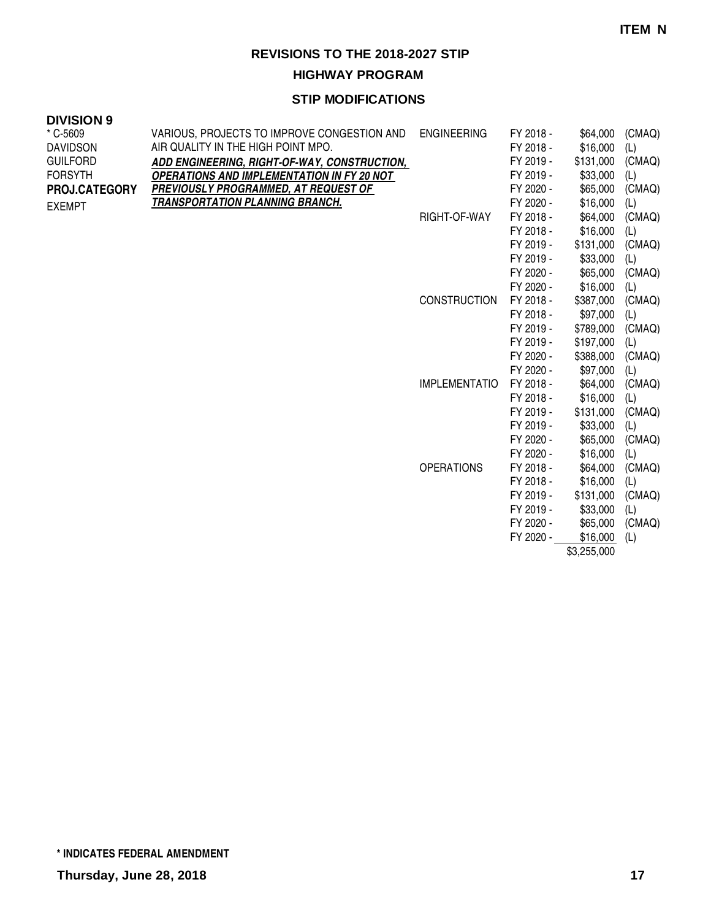**HIGHWAY PROGRAM**

#### **STIP MODIFICATIONS**

#### **DIVISION 9**

| * C-5609        | VARIOUS, PROJECTS TO IMPROVE CONGESTION AND       | <b>ENGINEERING</b>   | FY 2018 - | \$64,000  | (CMAQ) |
|-----------------|---------------------------------------------------|----------------------|-----------|-----------|--------|
| <b>DAVIDSON</b> | AIR QUALITY IN THE HIGH POINT MPO.                |                      | FY 2018 - | \$16,000  | (L)    |
| <b>GUILFORD</b> | ADD ENGINEERING, RIGHT-OF-WAY, CONSTRUCTION,      |                      | FY 2019 - | \$131,000 | (CMAQ) |
| <b>FORSYTH</b>  | <b>OPERATIONS AND IMPLEMENTATION IN FY 20 NOT</b> |                      | FY 2019 - | \$33,000  | (L)    |
| PROJ.CATEGORY   | PREVIOUSLY PROGRAMMED, AT REQUEST OF              |                      | FY 2020 - | \$65,000  | (CMAQ) |
| <b>EXEMPT</b>   | <b>TRANSPORTATION PLANNING BRANCH.</b>            |                      | FY 2020 - | \$16,000  | (L)    |
|                 |                                                   | RIGHT-OF-WAY         | FY 2018 - | \$64,000  | (CMAQ) |
|                 |                                                   |                      | FY 2018 - | \$16,000  | (L)    |
|                 |                                                   |                      | FY 2019 - | \$131,000 | (CMAQ) |
|                 |                                                   |                      | FY 2019 - | \$33,000  | (L)    |
|                 |                                                   |                      | FY 2020 - | \$65,000  | (CMAQ) |
|                 |                                                   |                      | FY 2020 - | \$16,000  | (L)    |
|                 |                                                   | <b>CONSTRUCTION</b>  | FY 2018 - | \$387,000 | (CMAQ) |
|                 |                                                   |                      | FY 2018 - | \$97,000  | (L)    |
|                 |                                                   |                      | FY 2019 - | \$789,000 | (CMAQ) |
|                 |                                                   |                      | FY 2019 - | \$197,000 | (L)    |
|                 |                                                   |                      | FY 2020 - | \$388,000 | (CMAQ) |
|                 |                                                   |                      | FY 2020 - | \$97,000  | (L)    |
|                 |                                                   | <b>IMPLEMENTATIO</b> | FY 2018 - | \$64,000  | (CMAQ) |
|                 |                                                   |                      | FY 2018 - | \$16,000  | (L)    |
|                 |                                                   |                      | FY 2019 - | \$131,000 | (CMAQ) |
|                 |                                                   |                      | FY 2019 - | \$33,000  | (L)    |
|                 |                                                   |                      | FY 2020 - | \$65,000  | (CMAQ) |
|                 |                                                   |                      | FY 2020 - | \$16,000  | (L)    |
|                 |                                                   | <b>OPERATIONS</b>    | FY 2018 - | \$64,000  | (CMAQ) |
|                 |                                                   |                      | FY 2018 - | \$16,000  | (L)    |
|                 |                                                   |                      | FY 2019 - | \$131,000 | (CMAQ) |
|                 |                                                   |                      | FY 2019 - | \$33,000  | (L)    |
|                 |                                                   |                      | FY 2020 - | \$65,000  | (CMAQ) |
|                 |                                                   |                      | FY 2020 - | \$16,000  | (L)    |

\$3,255,000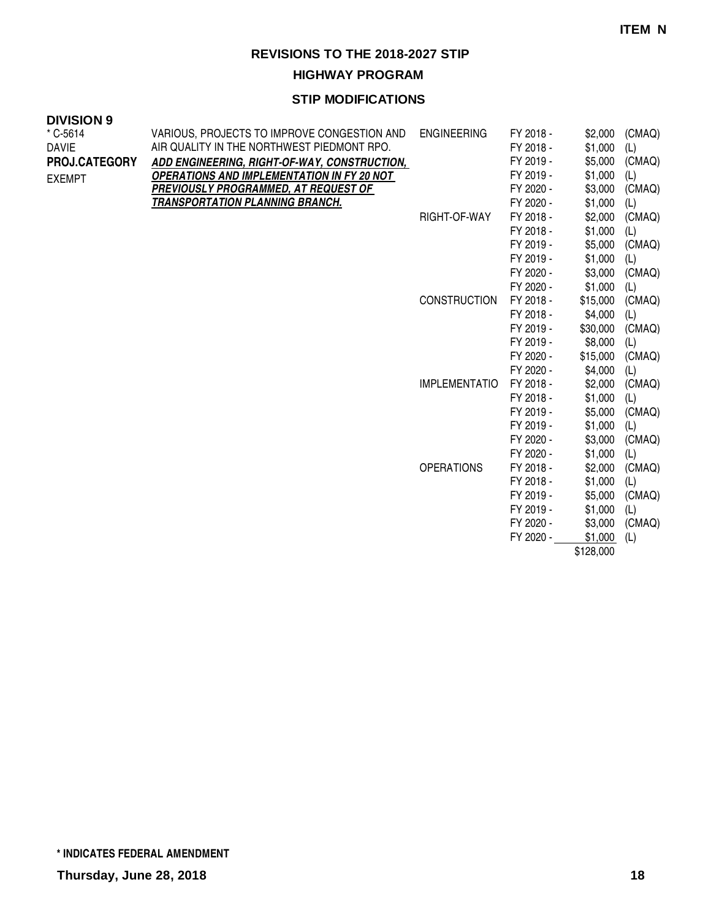**HIGHWAY PROGRAM**

#### **STIP MODIFICATIONS**

| <b>DIVISION 9</b>    |                                                   |                      |           |          |        |
|----------------------|---------------------------------------------------|----------------------|-----------|----------|--------|
| $*$ C-5614           | VARIOUS, PROJECTS TO IMPROVE CONGESTION AND       | <b>ENGINEERING</b>   | FY 2018 - | \$2,000  | (CMAQ) |
| <b>DAVIE</b>         | AIR QUALITY IN THE NORTHWEST PIEDMONT RPO.        |                      | FY 2018 - | \$1,000  | (L)    |
| <b>PROJ.CATEGORY</b> | ADD ENGINEERING, RIGHT-OF-WAY, CONSTRUCTION,      |                      | FY 2019 - | \$5,000  | (CMAQ) |
| <b>EXEMPT</b>        | <b>OPERATIONS AND IMPLEMENTATION IN FY 20 NOT</b> |                      | FY 2019 - | \$1,000  | (L)    |
|                      | <b>PREVIOUSLY PROGRAMMED, AT REQUEST OF</b>       |                      | FY 2020 - | \$3,000  | (CMAQ) |
|                      | <b>TRANSPORTATION PLANNING BRANCH.</b>            |                      | FY 2020 - | \$1,000  | (L)    |
|                      |                                                   | RIGHT-OF-WAY         | FY 2018 - | \$2,000  | (CMAQ) |
|                      |                                                   |                      | FY 2018 - | \$1,000  | (L)    |
|                      |                                                   |                      | FY 2019 - | \$5,000  | (CMAQ) |
|                      |                                                   |                      | FY 2019 - | \$1,000  | (L)    |
|                      |                                                   |                      | FY 2020 - | \$3,000  | (CMAQ) |
|                      |                                                   |                      | FY 2020 - | \$1,000  | (L)    |
|                      |                                                   | <b>CONSTRUCTION</b>  | FY 2018 - | \$15,000 | (CMAQ) |
|                      |                                                   |                      | FY 2018 - | \$4,000  | (L)    |
|                      |                                                   |                      | FY 2019 - | \$30,000 | (CMAQ) |
|                      |                                                   |                      | FY 2019 - | \$8,000  | (L)    |
|                      |                                                   |                      | FY 2020 - | \$15,000 | (CMAQ) |
|                      |                                                   |                      | FY 2020 - | \$4,000  | (L)    |
|                      |                                                   | <b>IMPLEMENTATIO</b> | FY 2018 - | \$2,000  | (CMAQ) |
|                      |                                                   |                      | FY 2018 - | \$1,000  | (L)    |
|                      |                                                   |                      | FY 2019 - | \$5,000  | (CMAQ) |
|                      |                                                   |                      | FY 2019 - | \$1,000  | (L)    |
|                      |                                                   |                      | FY 2020 - | \$3,000  | (CMAQ) |
|                      |                                                   |                      | FY 2020 - | \$1,000  | (L)    |
|                      |                                                   | <b>OPERATIONS</b>    | FY 2018 - | \$2,000  | (CMAQ) |
|                      |                                                   |                      | FY 2018 - | \$1,000  | (L)    |
|                      |                                                   |                      | FY 2019 - | \$5,000  | (CMAQ) |
|                      |                                                   |                      | FY 2019 - | \$1,000  | (L)    |

FY 2020 - \$3,000 (CMAQ) FY 2020 - \$1,000 (L)

\$128,000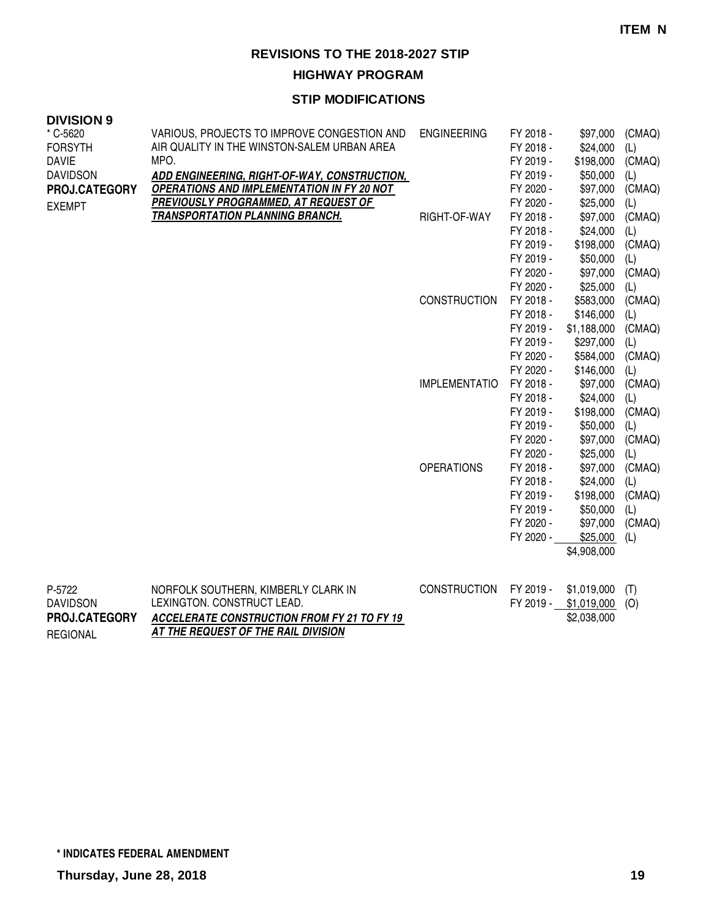**HIGHWAY PROGRAM**

| <b>DIVISION 9</b>          |                                                                                            |                      |                        |                            |               |
|----------------------------|--------------------------------------------------------------------------------------------|----------------------|------------------------|----------------------------|---------------|
| * C-5620<br><b>FORSYTH</b> | VARIOUS, PROJECTS TO IMPROVE CONGESTION AND<br>AIR QUALITY IN THE WINSTON-SALEM URBAN AREA | <b>ENGINEERING</b>   | FY 2018 -<br>FY 2018 - | \$97,000<br>\$24,000       | (CMAQ)<br>(L) |
| <b>DAVIE</b>               | MPO.                                                                                       |                      | FY 2019 -              | \$198,000                  | (CMAQ)        |
| <b>DAVIDSON</b>            | <b>ADD ENGINEERING, RIGHT-OF-WAY, CONSTRUCTION,</b>                                        |                      | FY 2019 -              | \$50,000                   | (L)           |
| PROJ.CATEGORY              | <b>OPERATIONS AND IMPLEMENTATION IN FY 20 NOT</b>                                          |                      | FY 2020 -              | \$97,000                   | (CMAQ)        |
| <b>EXEMPT</b>              | PREVIOUSLY PROGRAMMED, AT REQUEST OF                                                       |                      | FY 2020 -              | \$25,000                   | (L)           |
|                            | <b>TRANSPORTATION PLANNING BRANCH.</b>                                                     | RIGHT-OF-WAY         | FY 2018 -              | \$97,000                   | (CMAQ)        |
|                            |                                                                                            |                      | FY 2018 -              | \$24,000                   | (L)           |
|                            |                                                                                            |                      | FY 2019 -              | \$198,000                  | (CMAQ)        |
|                            |                                                                                            |                      | FY 2019 -              | \$50,000                   | (L)           |
|                            |                                                                                            |                      | FY 2020 -              | \$97,000                   | (CMAQ)        |
|                            |                                                                                            |                      | FY 2020 -              | \$25,000                   | (L)           |
|                            |                                                                                            | <b>CONSTRUCTION</b>  | FY 2018 -              | \$583,000                  | (CMAQ)        |
|                            |                                                                                            |                      | FY 2018 -              | \$146,000                  | (L)           |
|                            |                                                                                            |                      | FY 2019 -              | \$1,188,000                | (CMAQ)        |
|                            |                                                                                            |                      | FY 2019 -              | \$297,000                  | (L)           |
|                            |                                                                                            |                      | FY 2020 -              | \$584,000                  | (CMAQ)        |
|                            |                                                                                            |                      | FY 2020 -              | \$146,000                  | (L)           |
|                            |                                                                                            | <b>IMPLEMENTATIO</b> | FY 2018 -              | \$97,000                   | (CMAQ)        |
|                            |                                                                                            |                      | FY 2018 -              | \$24,000                   | (L)           |
|                            |                                                                                            |                      | FY 2019 -              | \$198,000                  | (CMAQ)        |
|                            |                                                                                            |                      | FY 2019 -              | \$50,000                   | (L)           |
|                            |                                                                                            |                      | FY 2020 -              | \$97,000                   | (CMAQ)        |
|                            |                                                                                            |                      | FY 2020 -              | \$25,000                   | (L)           |
|                            |                                                                                            | <b>OPERATIONS</b>    | FY 2018 -              | \$97,000                   | (CMAQ)        |
|                            |                                                                                            |                      | FY 2018 -              | \$24,000                   | (L)           |
|                            |                                                                                            |                      | FY 2019 -              | \$198,000                  | (CMAQ)        |
|                            |                                                                                            |                      | FY 2019 -              | \$50,000                   | (L)           |
|                            |                                                                                            |                      | FY 2020 -              | \$97,000                   | (CMAQ)        |
|                            |                                                                                            |                      | FY 2020 -              | \$25,000                   | (L)           |
|                            |                                                                                            |                      |                        | \$4,908,000                |               |
| P-5722                     |                                                                                            | <b>CONSTRUCTION</b>  |                        |                            |               |
| <b>DAVIDSON</b>            | NORFOLK SOUTHERN, KIMBERLY CLARK IN<br>LEXINGTON. CONSTRUCT LEAD.                          |                      | FY 2019 -<br>FY 2019 - | \$1,019,000<br>\$1,019,000 | (T)           |
|                            |                                                                                            |                      |                        | \$2,038,000                | (O)           |
| PROJ.CATEGORY              | <b>ACCELERATE CONSTRUCTION FROM FY 21 TO FY 19</b><br>AT THE REQUEST OF THE RAIL DIVISION  |                      |                        |                            |               |
| <b>REGIONAL</b>            |                                                                                            |                      |                        |                            |               |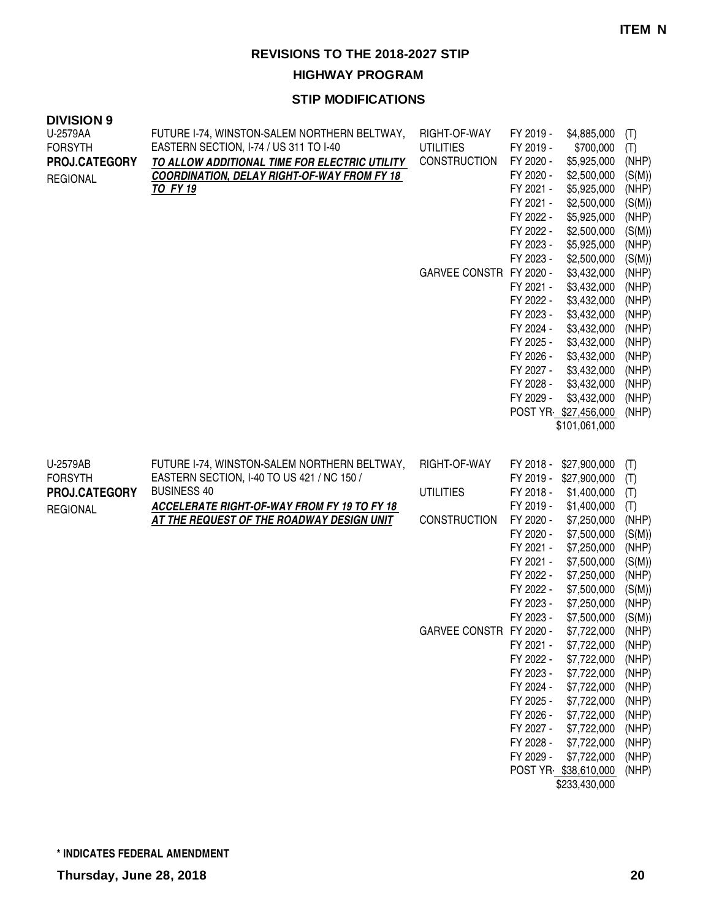**HIGHWAY PROGRAM**

| <b>DIVISION 9</b><br>U-2579AA<br><b>FORSYTH</b><br>PROJ.CATEGORY<br><b>REGIONAL</b> | FUTURE I-74, WINSTON-SALEM NORTHERN BELTWAY,<br>EASTERN SECTION, I-74 / US 311 TO I-40<br>TO ALLOW ADDITIONAL TIME FOR ELECTRIC UTILITY<br><b>COORDINATION, DELAY RIGHT-OF-WAY FROM FY 18</b><br><b>TO FY 19</b> | RIGHT-OF-WAY<br><b>UTILITIES</b><br><b>CONSTRUCTION</b><br>GARVEE CONSTR FY 2020 - | FY 2019 -<br>FY 2019 -<br>FY 2020 -<br>FY 2020 -<br>FY 2021 -<br>FY 2021 -<br>FY 2022 -<br>FY 2022 -<br>FY 2023 -<br>FY 2023 -<br>FY 2021 -<br>FY 2022 -<br>FY 2023 -<br>FY 2024 -<br>FY 2025 -<br>FY 2026 -<br>FY 2027 -<br>FY 2028 -<br>FY 2029 -              | \$4,885,000<br>\$700,000<br>\$5,925,000<br>\$2,500,000<br>\$5,925,000<br>\$2,500,000<br>\$5,925,000<br>\$2,500,000<br>\$5,925,000<br>\$2,500,000<br>\$3,432,000<br>\$3,432,000<br>\$3,432,000<br>\$3,432,000<br>\$3,432,000<br>\$3,432,000<br>\$3,432,000<br>\$3,432,000<br>\$3,432,000<br>\$3,432,000<br>POST YR \$27,456,000<br>\$101,061,000 | (T)<br>(T)<br>(NHP)<br>(S(M))<br>(NHP)<br>(S(M))<br>(NHP)<br>(S(M))<br>(NHP)<br>(S(M))<br>(NHP)<br>(NHP)<br>(NHP)<br>(NHP)<br>(NHP)<br>(NHP)<br>(NHP)<br>(NHP)<br>(NHP)<br>(NHP)<br>(NHP) |
|-------------------------------------------------------------------------------------|------------------------------------------------------------------------------------------------------------------------------------------------------------------------------------------------------------------|------------------------------------------------------------------------------------|------------------------------------------------------------------------------------------------------------------------------------------------------------------------------------------------------------------------------------------------------------------|-------------------------------------------------------------------------------------------------------------------------------------------------------------------------------------------------------------------------------------------------------------------------------------------------------------------------------------------------|-------------------------------------------------------------------------------------------------------------------------------------------------------------------------------------------|
| U-2579AB<br><b>FORSYTH</b><br>PROJ.CATEGORY<br><b>REGIONAL</b>                      | FUTURE I-74, WINSTON-SALEM NORTHERN BELTWAY,<br>EASTERN SECTION, I-40 TO US 421 / NC 150 /<br><b>BUSINESS 40</b><br>ACCELERATE RIGHT-OF-WAY FROM FY 19 TO FY 18<br>AT THE REQUEST OF THE ROADWAY DESIGN UNIT     | RIGHT-OF-WAY<br><b>UTILITIES</b><br><b>CONSTRUCTION</b><br>GARVEE CONSTR FY 2020 - | FY 2018 -<br>FY 2019 -<br>FY 2018 -<br>FY 2019 -<br>FY 2020 -<br>FY 2020 -<br>FY 2021 -<br>FY 2021 -<br>FY 2022 -<br>FY 2022 -<br>FY 2023 -<br>FY 2023 -<br>FY 2021 -<br>FY 2022 -<br>FY 2023 -<br>FY 2024 -<br>FY 2025 -<br>FY 2026 -<br>FY 2027 -<br>FY 2028 - | \$27,900,000<br>\$27,900,000<br>\$1,400,000<br>\$1,400,000<br>\$7,250,000<br>\$7,500,000<br>\$7,250,000<br>\$7,500,000<br>\$7,250,000<br>\$7,500,000<br>\$7,250,000<br>\$7,500,000<br>\$7,722,000<br>\$7,722,000<br>\$7,722,000<br>\$7,722,000<br>\$7,722,000<br>\$7,722,000<br>\$7,722,000<br>\$7,722,000<br>\$7,722,000                       | (T)<br>(T)<br>(T)<br>(T)<br>(NHP)<br>(S(M))<br>(NHP)<br>(S(M))<br>(NHP)<br>(S(M))<br>(NHP)<br>(S(M))<br>(NHP)<br>(NHP)<br>(NHP)<br>(NHP)<br>(NHP)<br>(NHP)<br>(NHP)<br>(NHP)<br>(NHP)     |
|                                                                                     |                                                                                                                                                                                                                  |                                                                                    | FY 2029 -                                                                                                                                                                                                                                                        | \$7,722,000<br>POST YR \$38,610,000<br>\$233,430,000                                                                                                                                                                                                                                                                                            | (NHP)<br>(NHP)                                                                                                                                                                            |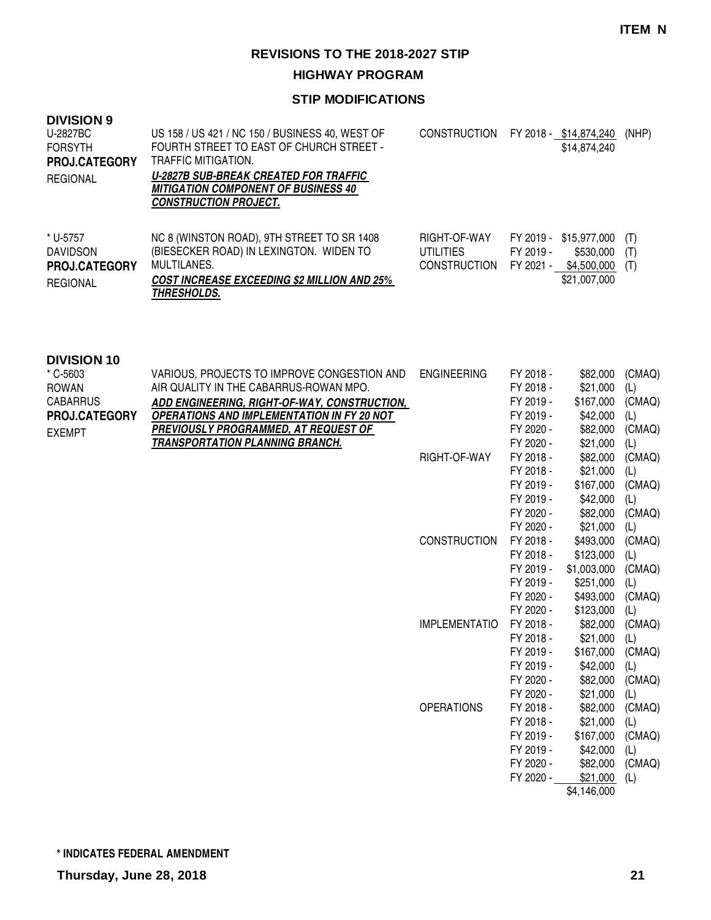**HIGHWAY PROGRAM**

| <b>DIVISION 9</b><br>U-2827BC<br><b>FORSYTH</b><br>PROJ.CATEGORY<br><b>REGIONAL</b>                 | US 158 / US 421 / NC 150 / BUSINESS 40, WEST OF<br>FOURTH STREET TO EAST OF CHURCH STREET -<br>TRAFFIC MITIGATION.<br><b>U-2827B SUB-BREAK CREATED FOR TRAFFIC</b><br><b>MITIGATION COMPONENT OF BUSINESS 40</b><br><b>CONSTRUCTION PROJECT.</b>                                    | CONSTRUCTION FY 2018 - \$14,874,240 (NHP)               |                                                                                         | \$14,874,240                                                                         |                                                        |
|-----------------------------------------------------------------------------------------------------|-------------------------------------------------------------------------------------------------------------------------------------------------------------------------------------------------------------------------------------------------------------------------------------|---------------------------------------------------------|-----------------------------------------------------------------------------------------|--------------------------------------------------------------------------------------|--------------------------------------------------------|
| * U-5757<br><b>DAVIDSON</b><br>PROJ.CATEGORY<br><b>REGIONAL</b>                                     | NC 8 (WINSTON ROAD), 9TH STREET TO SR 1408<br>(BIESECKER ROAD) IN LEXINGTON. WIDEN TO<br>MULTILANES.<br><b>COST INCREASE EXCEEDING \$2 MILLION AND 25%</b><br><b>THRESHOLDS.</b>                                                                                                    | RIGHT-OF-WAY<br><b>UTILITIES</b><br><b>CONSTRUCTION</b> | FY 2019 -                                                                               | FY 2019 - \$15,977,000<br>\$530,000<br>FY 2021 - \$4,500,000<br>\$21,007,000         | (T)<br>(T)<br>(T)                                      |
| <b>DIVISION 10</b><br>* C-5603<br><b>ROWAN</b><br><b>CABARRUS</b><br>PROJ.CATEGORY<br><b>EXEMPT</b> | VARIOUS, PROJECTS TO IMPROVE CONGESTION AND<br>AIR QUALITY IN THE CABARRUS-ROWAN MPO.<br>ADD ENGINEERING, RIGHT-OF-WAY, CONSTRUCTION,<br><b>OPERATIONS AND IMPLEMENTATION IN FY 20 NOT</b><br><b>PREVIOUSLY PROGRAMMED, AT REQUEST OF</b><br><b>TRANSPORTATION PLANNING BRANCH.</b> | <b>ENGINEERING</b>                                      | FY 2018 -<br>FY 2018 -<br>FY 2019 -<br>FY 2019 -<br>FY 2020 -                           | \$82,000<br>\$21,000<br>\$167,000<br>\$42,000<br>\$82,000                            | (CMAQ)<br>(L)<br>(CMAQ)<br>(L)<br>(CMAQ)               |
|                                                                                                     |                                                                                                                                                                                                                                                                                     | RIGHT-OF-WAY                                            | FY 2020 -<br>FY 2018 -<br>FY 2018 -<br>FY 2019 -<br>FY 2019 -<br>FY 2020 -<br>FY 2020 - | \$21,000<br>\$82,000<br>\$21,000<br>\$167,000<br>\$42,000<br>\$82,000<br>\$21,000    | (L)<br>(CMAQ)<br>(L)<br>(CMAQ)<br>(L)<br>(CMAQ)<br>(L) |
|                                                                                                     |                                                                                                                                                                                                                                                                                     | <b>CONSTRUCTION</b>                                     | FY 2018 -<br>FY 2018 -<br>FY 2019 -<br>FY 2019 -<br>FY 2020 -<br>FY 2020 -              | \$493,000<br>\$123,000<br>\$1,003,000<br>\$251,000<br>\$493,000<br>\$123,000         | (CMAQ)<br>(L)<br>(CMAQ)<br>(L)<br>(CMAQ)<br>(L)        |
|                                                                                                     |                                                                                                                                                                                                                                                                                     | <b>IMPLEMENTATIO</b>                                    | FY 2018 -<br>FY 2018 -<br>FY 2019 -<br>FY 2019 -<br>FY 2020 -<br>FY 2020 -              | \$82,000<br>\$21,000<br>\$167,000<br>\$42,000<br>\$82,000<br>\$21,000                | (CMAQ)<br>(L)<br>(CMAQ)<br>(L)<br>(CMAQ)<br>(L)        |
|                                                                                                     |                                                                                                                                                                                                                                                                                     | <b>OPERATIONS</b>                                       | FY 2018 -<br>FY 2018 -<br>FY 2019 -<br>FY 2019 -<br>FY 2020 -<br>FY 2020 -              | \$82,000<br>\$21,000<br>\$167,000<br>\$42,000<br>\$82,000<br>\$21,000<br>\$4,146,000 | (CMAQ)<br>(L)<br>(CMAQ)<br>(L)<br>(CMAQ)<br>(L)        |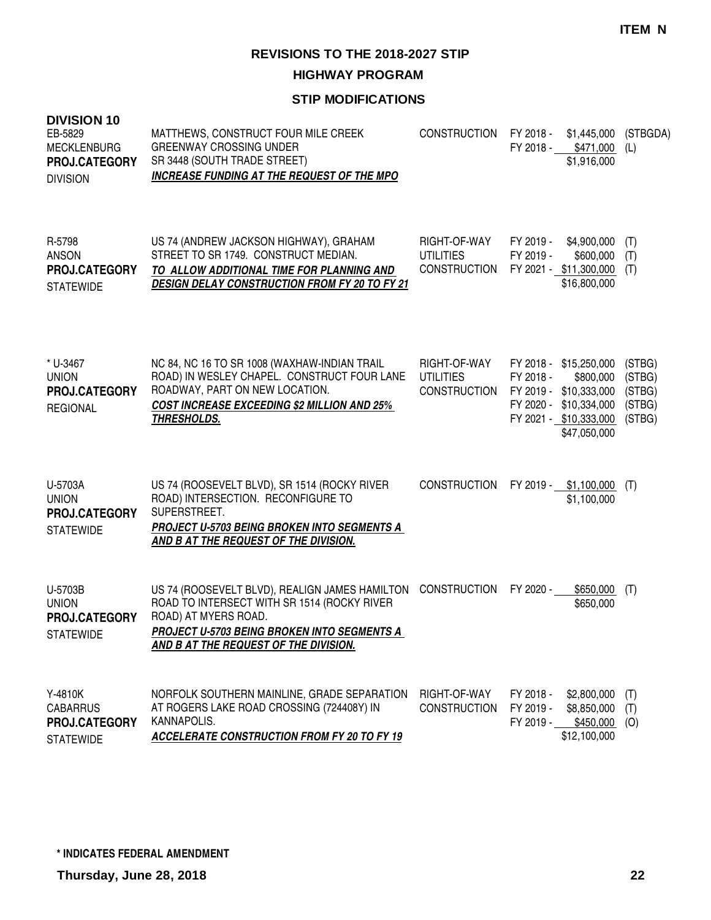**HIGHWAY PROGRAM**

| <b>DIVISION 10</b><br>EB-5829<br><b>MECKLENBURG</b><br>PROJ.CATEGORY<br><b>DIVISION</b> | MATTHEWS, CONSTRUCT FOUR MILE CREEK<br><b>GREENWAY CROSSING UNDER</b><br>SR 3448 (SOUTH TRADE STREET)<br><b>INCREASE FUNDING AT THE REQUEST OF THE MPO</b>                                                           | CONSTRUCTION                                            | FY 2018 -<br>\$1,445,000<br>FY 2018 - \$471,000<br>\$1,916,000                                                                                          | (STBGDA)<br>(L)                                |
|-----------------------------------------------------------------------------------------|----------------------------------------------------------------------------------------------------------------------------------------------------------------------------------------------------------------------|---------------------------------------------------------|---------------------------------------------------------------------------------------------------------------------------------------------------------|------------------------------------------------|
| R-5798<br><b>ANSON</b><br>PROJ.CATEGORY<br><b>STATEWIDE</b>                             | US 74 (ANDREW JACKSON HIGHWAY), GRAHAM<br>STREET TO SR 1749. CONSTRUCT MEDIAN.<br>TO ALLOW ADDITIONAL TIME FOR PLANNING AND<br><b>DESIGN DELAY CONSTRUCTION FROM FY 20 TO FY 21</b>                                  | RIGHT-OF-WAY<br><b>UTILITIES</b><br><b>CONSTRUCTION</b> | FY 2019 -<br>\$4,900,000<br>FY 2019 -<br>\$600,000<br>FY 2021 - \$11,300,000<br>\$16,800,000                                                            | (T)<br>(T)<br>(T)                              |
| * U-3467<br><b>UNION</b><br>PROJ.CATEGORY<br><b>REGIONAL</b>                            | NC 84, NC 16 TO SR 1008 (WAXHAW-INDIAN TRAIL<br>ROAD) IN WESLEY CHAPEL. CONSTRUCT FOUR LANE<br>ROADWAY, PART ON NEW LOCATION.<br><b>COST INCREASE EXCEEDING \$2 MILLION AND 25%</b><br><b>THRESHOLDS.</b>            | RIGHT-OF-WAY<br><b>UTILITIES</b><br><b>CONSTRUCTION</b> | FY 2018 -<br>\$15,250,000<br>FY 2018 -<br>\$800,000<br>FY 2019 -<br>\$10,333,000<br>FY 2020 -<br>\$10,334,000<br>FY 2021 - \$10,333,000<br>\$47,050,000 | (STBG)<br>(STBG)<br>(STBG)<br>(STBG)<br>(STBG) |
| U-5703A<br><b>UNION</b><br>PROJ.CATEGORY<br><b>STATEWIDE</b>                            | US 74 (ROOSEVELT BLVD), SR 1514 (ROCKY RIVER<br>ROAD) INTERSECTION. RECONFIGURE TO<br>SUPERSTREET.<br><b>PROJECT U-5703 BEING BROKEN INTO SEGMENTS A</b><br><b>AND B AT THE REQUEST OF THE DIVISION.</b>             | <b>CONSTRUCTION</b>                                     | FY 2019 -<br>\$1,100,000<br>\$1,100,000                                                                                                                 | (T)                                            |
| U-5703B<br><b>UNION</b><br>PROJ.CATEGORY<br><b>STATEWIDE</b>                            | US 74 (ROOSEVELT BLVD), REALIGN JAMES HAMILTON<br>ROAD TO INTERSECT WITH SR 1514 (ROCKY RIVER<br>ROAD) AT MYERS ROAD.<br><b>PROJECT U-5703 BEING BROKEN INTO SEGMENTS A</b><br>AND B AT THE REQUEST OF THE DIVISION. | <b>CONSTRUCTION</b>                                     | FY 2020 -<br>\$650,000<br>\$650,000                                                                                                                     | (T)                                            |
| Y-4810K<br><b>CABARRUS</b><br><b>PROJ.CATEGORY</b><br><b>STATEWIDE</b>                  | NORFOLK SOUTHERN MAINLINE, GRADE SEPARATION<br>AT ROGERS LAKE ROAD CROSSING (724408Y) IN<br>KANNAPOLIS.<br><b>ACCELERATE CONSTRUCTION FROM FY 20 TO FY 19</b>                                                        | RIGHT-OF-WAY<br><b>CONSTRUCTION</b>                     | FY 2018 -<br>\$2,800,000<br>FY 2019 -<br>\$8,850,000<br>FY 2019 -<br>\$450,000<br>\$12,100,000                                                          | (T)<br>(T)<br>(O)                              |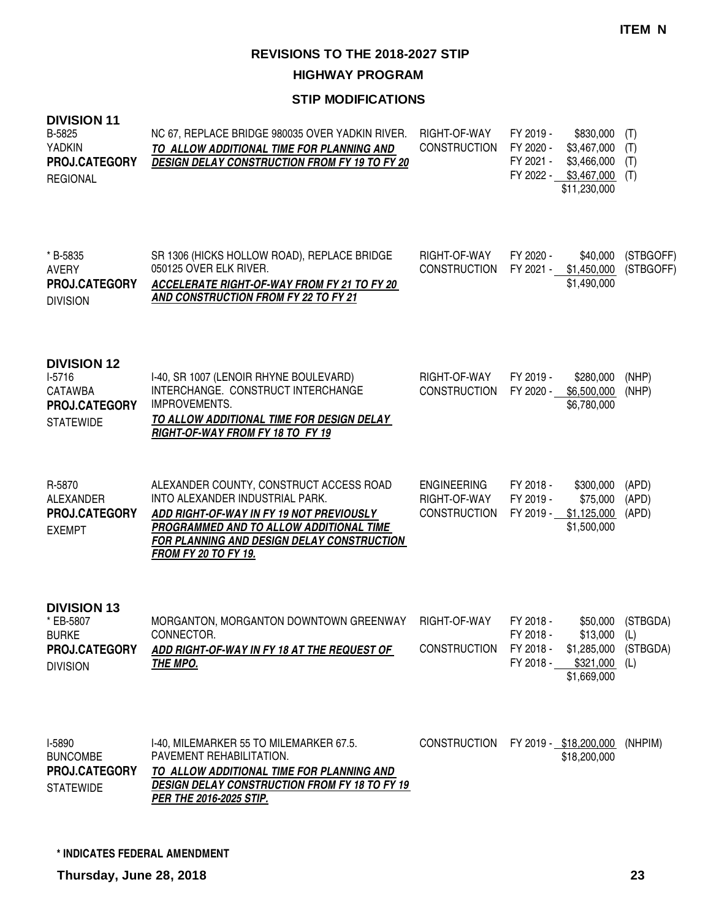**HIGHWAY PROGRAM**

| <b>DIVISION 11</b><br>B-5825<br>YADKIN<br>PROJ.CATEGORY<br><b>REGIONAL</b>            | NC 67, REPLACE BRIDGE 980035 OVER YADKIN RIVER.<br>TO ALLOW ADDITIONAL TIME FOR PLANNING AND<br><b>DESIGN DELAY CONSTRUCTION FROM FY 19 TO FY 20</b>                                                                                                  | RIGHT-OF-WAY<br><b>CONSTRUCTION</b>                       | FY 2019 -<br>\$830,000<br>FY 2020 -<br>\$3,467,000<br>FY 2021 -<br>\$3,466,000<br>FY 2022 - \$3,467,000<br>\$11,230,000   | (T)<br>(T)<br>(T)<br>(T) |
|---------------------------------------------------------------------------------------|-------------------------------------------------------------------------------------------------------------------------------------------------------------------------------------------------------------------------------------------------------|-----------------------------------------------------------|---------------------------------------------------------------------------------------------------------------------------|--------------------------|
| * B-5835<br>AVERY<br>PROJ.CATEGORY<br><b>DIVISION</b>                                 | SR 1306 (HICKS HOLLOW ROAD), REPLACE BRIDGE<br>050125 OVER ELK RIVER.<br>ACCELERATE RIGHT-OF-WAY FROM FY 21 TO FY 20<br>AND CONSTRUCTION FROM FY 22 TO FY 21                                                                                          | RIGHT-OF-WAY<br><b>CONSTRUCTION</b>                       | FY 2020 -<br>\$40,000<br>FY 2021 -<br>\$1,450,000<br>\$1,490,000                                                          | (STBGOFF)<br>(STBGOFF)   |
| <b>DIVISION 12</b><br>$I-5716$<br><b>CATAWBA</b><br>PROJ.CATEGORY<br><b>STATEWIDE</b> | I-40, SR 1007 (LENOIR RHYNE BOULEVARD)<br>INTERCHANGE. CONSTRUCT INTERCHANGE<br>IMPROVEMENTS.<br>TO ALLOW ADDITIONAL TIME FOR DESIGN DELAY<br>RIGHT-OF-WAY FROM FY 18 TO FY 19                                                                        | RIGHT-OF-WAY<br><b>CONSTRUCTION</b>                       | \$280,000<br>FY 2019 -<br>FY 2020 -<br>\$6,500,000<br>\$6,780,000                                                         | (NHP)<br>(NHP)           |
| R-5870<br>ALEXANDER<br>PROJ.CATEGORY<br><b>EXEMPT</b>                                 | ALEXANDER COUNTY, CONSTRUCT ACCESS ROAD<br>INTO ALEXANDER INDUSTRIAL PARK.<br>ADD RIGHT-OF-WAY IN FY 19 NOT PREVIOUSLY<br>PROGRAMMED AND TO ALLOW ADDITIONAL TIME<br><b>FOR PLANNING AND DESIGN DELAY CONSTRUCTION</b><br><b>FROM FY 20 TO FY 19.</b> | <b>ENGINEERING</b><br>RIGHT-OF-WAY<br><b>CONSTRUCTION</b> | FY 2018 -<br>\$300,000<br>FY 2019 -<br>\$75,000<br>\$1,125,000<br>FY 2019 -<br>\$1,500,000                                | (APD)<br>(APD)<br>(APD)  |
| <b>DIVISION 13</b><br>* EB-5807<br><b>BURKE</b><br>PROJ.CATEGORY<br><b>DIVISION</b>   | MORGANTON, MORGANTON DOWNTOWN GREENWAY<br>CONNECTOR.<br>ADD RIGHT-OF-WAY IN FY 18 AT THE REQUEST OF<br><b>THE MPO.</b>                                                                                                                                | RIGHT-OF-WAY<br><b>CONSTRUCTION</b>                       | FY 2018 -<br>FY 2018 -<br>\$13,000 (L)<br>FY 2018 -<br>\$1,285,000 (STBGDA)<br>FY 2018 -<br>$$321,000$ (L)<br>\$1,669,000 | \$50,000 (STBGDA)        |
| <b>I-5890</b><br><b>BUNCOMBE</b><br>PROJ.CATEGORY<br><b>STATEWIDE</b>                 | I-40, MILEMARKER 55 TO MILEMARKER 67.5.<br>PAVEMENT REHABILITATION.<br>TO ALLOW ADDITIONAL TIME FOR PLANNING AND<br><b>DESIGN DELAY CONSTRUCTION FROM FY 18 TO FY 19</b><br><b>PER THE 2016-2025 STIP.</b>                                            |                                                           | CONSTRUCTION FY 2019 - \$18,200,000<br>\$18,200,000                                                                       | (NHPIM)                  |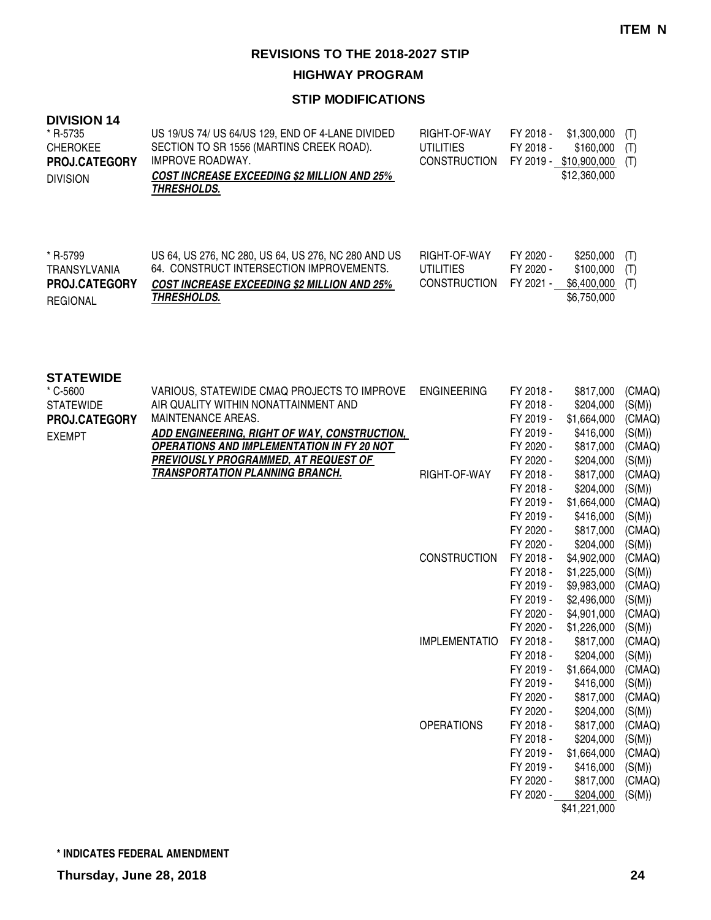**HIGHWAY PROGRAM**

| * R-5799<br>US 64, US 276, NC 280, US 64, US 276, NC 280 AND US<br>FY 2020 -<br>\$250,000<br>RIGHT-OF-WAY<br>(T)<br>64. CONSTRUCT INTERSECTION IMPROVEMENTS.<br><b>TRANSYLVANIA</b><br><b>UTILITIES</b><br>FY 2020 -<br>\$100,000<br>(T)<br><b>CONSTRUCTION</b><br>FY 2021 -<br>\$6,400,000<br><b>PROJ.CATEGORY</b><br>(T)<br><b>COST INCREASE EXCEEDING \$2 MILLION AND 25%</b><br>\$6,750,000<br><b>THRESHOLDS.</b><br><b>REGIONAL</b><br><b>STATEWIDE</b><br><b>ENGINEERING</b><br>(CMAQ)<br>* C-5600<br>VARIOUS, STATEWIDE CMAQ PROJECTS TO IMPROVE<br>FY 2018 -<br>\$817,000<br>AIR QUALITY WITHIN NONATTAINMENT AND<br>\$204,000<br>(S(M))<br><b>STATEWIDE</b><br>FY 2018 -<br>MAINTENANCE AREAS.<br>FY 2019 -<br>\$1,664,000<br>(CMAQ)<br>PROJ.CATEGORY<br>FY 2019 -<br>\$416,000<br>(S(M))<br>ADD ENGINEERING, RIGHT OF WAY, CONSTRUCTION,<br><b>EXEMPT</b><br><b>OPERATIONS AND IMPLEMENTATION IN FY 20 NOT</b><br>FY 2020 -<br>\$817,000<br>(CMAQ)<br>PREVIOUSLY PROGRAMMED, AT REQUEST OF<br>FY 2020 -<br>\$204,000<br>(S(M))<br><b>TRANSPORTATION PLANNING BRANCH.</b><br>RIGHT-OF-WAY<br>FY 2018 -<br>\$817,000<br>(CMAQ)<br>FY 2018 -<br>\$204,000<br>(S(M))<br>FY 2019 -<br>\$1,664,000<br>(CMAQ)<br>FY 2019 -<br>\$416,000<br>(S(M))<br>FY 2020 -<br>\$817,000<br>(CMAQ)<br>FY 2020 -<br>\$204,000<br>(S(M))<br><b>CONSTRUCTION</b><br>FY 2018 -<br>\$4,902,000<br>(CMAQ)<br>FY 2018 -<br>\$1,225,000<br>(S(M))<br>\$9,983,000<br>(CMAQ)<br>FY 2019 -<br>FY 2019 -<br>\$2,496,000<br>(S(M))<br>FY 2020 -<br>\$4,901,000<br>(CMAQ)<br>FY 2020 -<br>\$1,226,000<br>(S(M))<br><b>IMPLEMENTATIO</b><br>FY 2018 -<br>\$817,000<br>(CMAQ)<br>\$204,000<br>(S(M))<br>FY 2018 -<br>FY 2019 -<br>\$1,664,000<br>(CMAQ)<br>FY 2019 -<br>\$416,000<br>(S(M))<br>FY 2020 -<br>\$817,000<br>(CMAQ)<br>FY 2020 -<br>\$204,000<br>(S(M))<br><b>OPERATIONS</b><br>FY 2018 -<br>\$817,000<br>(CMAQ)<br>FY 2018 -<br>\$204,000<br>(S(M))<br>FY 2019 -<br>\$1,664,000<br>(CMAQ)<br>FY 2019 -<br>\$416,000<br>(S(M))<br>FY 2020 -<br>\$817,000<br>(CMAQ)<br>FY 2020 -<br>\$204,000<br>(S(M))<br>\$41,221,000 | <b>DIVISION 14</b><br>* R-5735<br><b>CHEROKEE</b><br>PROJ.CATEGORY<br><b>DIVISION</b> | US 19/US 74/ US 64/US 129, END OF 4-LANE DIVIDED<br>SECTION TO SR 1556 (MARTINS CREEK ROAD).<br><b>IMPROVE ROADWAY.</b><br><b>COST INCREASE EXCEEDING \$2 MILLION AND 25%</b><br><b>THRESHOLDS.</b> | RIGHT-OF-WAY<br><b>UTILITIES</b><br><b>CONSTRUCTION</b> | FY 2018 -<br>FY 2018 - | \$1,300,000<br>\$160,000<br>FY 2019 - \$10,900,000<br>\$12,360,000 | (T)<br>(T)<br>(T) |
|----------------------------------------------------------------------------------------------------------------------------------------------------------------------------------------------------------------------------------------------------------------------------------------------------------------------------------------------------------------------------------------------------------------------------------------------------------------------------------------------------------------------------------------------------------------------------------------------------------------------------------------------------------------------------------------------------------------------------------------------------------------------------------------------------------------------------------------------------------------------------------------------------------------------------------------------------------------------------------------------------------------------------------------------------------------------------------------------------------------------------------------------------------------------------------------------------------------------------------------------------------------------------------------------------------------------------------------------------------------------------------------------------------------------------------------------------------------------------------------------------------------------------------------------------------------------------------------------------------------------------------------------------------------------------------------------------------------------------------------------------------------------------------------------------------------------------------------------------------------------------------------------------------------------------------------------------------------------------------------------------------------------------------------------------------------------------------------------------------|---------------------------------------------------------------------------------------|-----------------------------------------------------------------------------------------------------------------------------------------------------------------------------------------------------|---------------------------------------------------------|------------------------|--------------------------------------------------------------------|-------------------|
|                                                                                                                                                                                                                                                                                                                                                                                                                                                                                                                                                                                                                                                                                                                                                                                                                                                                                                                                                                                                                                                                                                                                                                                                                                                                                                                                                                                                                                                                                                                                                                                                                                                                                                                                                                                                                                                                                                                                                                                                                                                                                                          |                                                                                       |                                                                                                                                                                                                     |                                                         |                        |                                                                    |                   |
|                                                                                                                                                                                                                                                                                                                                                                                                                                                                                                                                                                                                                                                                                                                                                                                                                                                                                                                                                                                                                                                                                                                                                                                                                                                                                                                                                                                                                                                                                                                                                                                                                                                                                                                                                                                                                                                                                                                                                                                                                                                                                                          |                                                                                       |                                                                                                                                                                                                     |                                                         |                        |                                                                    |                   |
|                                                                                                                                                                                                                                                                                                                                                                                                                                                                                                                                                                                                                                                                                                                                                                                                                                                                                                                                                                                                                                                                                                                                                                                                                                                                                                                                                                                                                                                                                                                                                                                                                                                                                                                                                                                                                                                                                                                                                                                                                                                                                                          |                                                                                       |                                                                                                                                                                                                     |                                                         |                        |                                                                    |                   |
|                                                                                                                                                                                                                                                                                                                                                                                                                                                                                                                                                                                                                                                                                                                                                                                                                                                                                                                                                                                                                                                                                                                                                                                                                                                                                                                                                                                                                                                                                                                                                                                                                                                                                                                                                                                                                                                                                                                                                                                                                                                                                                          |                                                                                       |                                                                                                                                                                                                     |                                                         |                        |                                                                    |                   |
|                                                                                                                                                                                                                                                                                                                                                                                                                                                                                                                                                                                                                                                                                                                                                                                                                                                                                                                                                                                                                                                                                                                                                                                                                                                                                                                                                                                                                                                                                                                                                                                                                                                                                                                                                                                                                                                                                                                                                                                                                                                                                                          |                                                                                       |                                                                                                                                                                                                     |                                                         |                        |                                                                    |                   |
|                                                                                                                                                                                                                                                                                                                                                                                                                                                                                                                                                                                                                                                                                                                                                                                                                                                                                                                                                                                                                                                                                                                                                                                                                                                                                                                                                                                                                                                                                                                                                                                                                                                                                                                                                                                                                                                                                                                                                                                                                                                                                                          |                                                                                       |                                                                                                                                                                                                     |                                                         |                        |                                                                    |                   |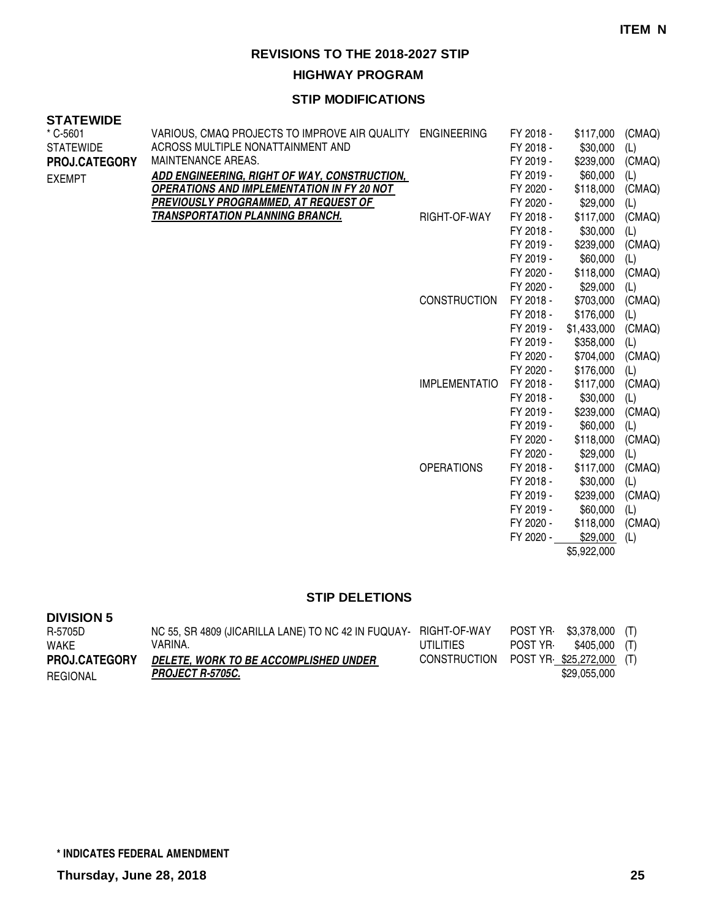**HIGHWAY PROGRAM**

#### **STIP MODIFICATIONS**

| <b>STATEWIDE</b>     |                                                           |                      |                        |                       |        |
|----------------------|-----------------------------------------------------------|----------------------|------------------------|-----------------------|--------|
| $*$ C-5601           | VARIOUS, CMAQ PROJECTS TO IMPROVE AIR QUALITY ENGINEERING |                      | FY 2018 -              | \$117,000             | (CMAQ) |
| <b>STATEWIDE</b>     | ACROSS MULTIPLE NONATTAINMENT AND                         |                      | FY 2018 -              | \$30,000              | (L)    |
| <b>PROJ.CATEGORY</b> | <b>MAINTENANCE AREAS.</b>                                 |                      | FY 2019 -              | \$239,000             | (CMAQ) |
| <b>EXEMPT</b>        | ADD ENGINEERING, RIGHT OF WAY, CONSTRUCTION,              |                      | FY 2019 -              | \$60,000              | (L)    |
|                      | <b>OPERATIONS AND IMPLEMENTATION IN FY 20 NOT</b>         |                      | FY 2020 -              | \$118,000             | (CMAQ) |
|                      | PREVIOUSLY PROGRAMMED, AT REQUEST OF                      |                      | FY 2020 -              | \$29,000              | (L)    |
|                      | <b>TRANSPORTATION PLANNING BRANCH.</b>                    | RIGHT-OF-WAY         | FY 2018 -              | \$117,000             | (CMAQ) |
|                      |                                                           |                      | FY 2018 -              | \$30,000              | (L)    |
|                      |                                                           |                      | FY 2019 -              | \$239,000             | (CMAQ) |
|                      |                                                           |                      | FY 2019 -              | \$60,000              | (L)    |
|                      |                                                           |                      | FY 2020 -              | \$118,000             | (CMAQ) |
|                      |                                                           |                      | FY 2020 -              | \$29,000              | (L)    |
|                      |                                                           | <b>CONSTRUCTION</b>  | FY 2018 -              | \$703,000             | (CMAQ) |
|                      |                                                           |                      | FY 2018 -              | \$176,000             | (L)    |
|                      |                                                           |                      | FY 2019 -              | \$1,433,000           | (CMAQ) |
|                      |                                                           |                      | FY 2019 -              | \$358,000             | (L)    |
|                      |                                                           |                      | FY 2020 -              | \$704,000             | (CMAQ) |
|                      |                                                           |                      | FY 2020 -              | \$176,000             | (L)    |
|                      |                                                           | <b>IMPLEMENTATIO</b> | FY 2018 -              | \$117,000             | (CMAQ) |
|                      |                                                           |                      | FY 2018 -              | \$30,000              | (L)    |
|                      |                                                           |                      | FY 2019 -              | \$239,000             | (CMAQ) |
|                      |                                                           |                      | FY 2019 -              | \$60,000              | (L)    |
|                      |                                                           |                      | FY 2020 -              | \$118,000             | (CMAQ) |
|                      |                                                           |                      | FY 2020 -              | \$29,000              | (L)    |
|                      |                                                           | <b>OPERATIONS</b>    | FY 2018 -              | \$117,000             | (CMAQ) |
|                      |                                                           |                      | FY 2018 -              | \$30,000              | (L)    |
|                      |                                                           |                      | FY 2019 -              | \$239,000             | (CMAQ) |
|                      |                                                           |                      | FY 2019 -              | \$60,000              | (L)    |
|                      |                                                           |                      | FY 2020 -<br>FY 2020 - | \$118,000<br>\$29,000 | (CMAQ) |
|                      |                                                           |                      |                        |                       | (L)    |

\$5,922,000

#### **STIP DELETIONS**

| <b>DIVISION 5</b>    |                                                                  |              |           |                          |  |
|----------------------|------------------------------------------------------------------|--------------|-----------|--------------------------|--|
| R-5705D              | NC 55, SR 4809 (JICARILLA LANE) TO NC 42 IN FUQUAY- RIGHT-OF-WAY |              | POST YR . | \$3,378,000 (T)          |  |
| WAKE                 | VARINA.                                                          | UTILITIES.   | POST YR I | \$405,000 (T)            |  |
| <b>PROJ.CATEGORY</b> | DELETE, WORK TO BE ACCOMPLISHED UNDER                            | CONSTRUCTION |           | POST YR \$25,272,000 (T) |  |
| REGIONAL             | <b>PROJECT R-5705C.</b>                                          |              |           | \$29.055.000             |  |